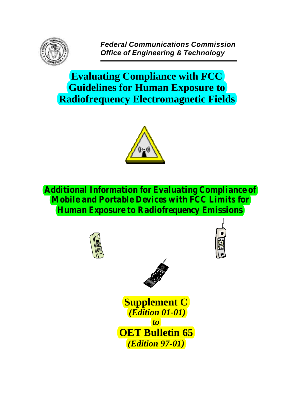

*Federal Communications Commission Office of Engineering & Technology*

**Evaluating Compliance with FCC Guidelines for Human Exposure to Radiofrequency Electromagnetic Fields**



*Additional Information for Evaluating Compliance of Mobile and Portable Devices with FCC Limits for Human Exposure to Radiofrequency Emissions*







**Supplement C**  *(Edition 01-01) to* **OET Bulletin 65** *(Edition 97-01)*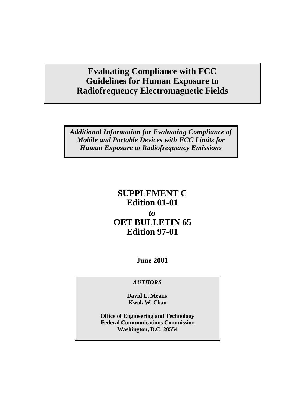# **Evaluating Compliance with FCC Guidelines for Human Exposure to Radiofrequency Electromagnetic Fields**

*Additional Information for Evaluating Compliance of Mobile and Portable Devices with FCC Limits for Human Exposure to Radiofrequency Emissions*

# **SUPPLEMENT C Edition 01-01** *to* **OET BULLETIN 65 Edition 97-01**

**June 2001**

# *AUTHORS*

**David L. Means Kwok W. Chan**

**Office of Engineering and Technology Federal Communications Commission Washington, D.C. 20554**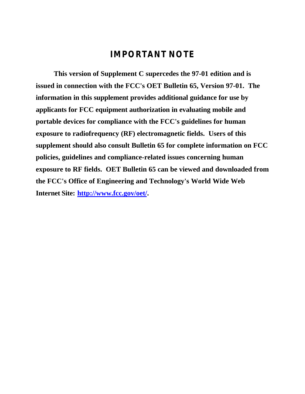# *IMPORTANT NOTE*

**This version of Supplement C supercedes the 97-01 edition and is issued in connection with the FCC's OET Bulletin 65, Version 97-01. The information in this supplement provides additional guidance for use by applicants for FCC equipment authorization in evaluating mobile and portable devices for compliance with the FCC's guidelines for human exposure to radiofrequency (RF) electromagnetic fields. Users of this supplement should also consult Bulletin 65 for complete information on FCC policies, guidelines and compliance-related issues concerning human exposure to RF fields. OET Bulletin 65 can be viewed and downloaded from the FCC's Office of Engineering and Technology's World Wide Web Internet Site: http://www.fcc.gov/oet/.**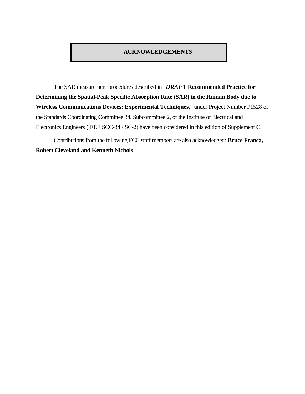### **ACKNOWLEDGEMENTS**

The SAR measurement procedures described in "*DRAFT* **Recommended Practice for Determining the Spatial-Peak Specific Absorption Rate (SAR) in the Human Body due to Wireless Communications Devices: Experimental Techniques**," under Project Number P1528 of the Standards Coordinating Committee 34, Subcommittee 2, of the Institute of Electrical and Electronics Engineers (IEEE SCC-34 / SC-2) have been considered in this edition of Supplement C.

Contributions from the following FCC staff members are also acknowledged: **Bruce Franca, Robert Cleveland and Kenneth Nichols**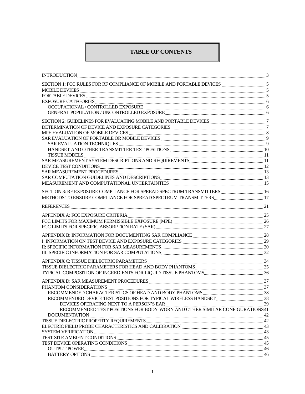# **TABLE OF CONTENTS**

| $\rm INTRODUCTION_{\dots 3}3$                                                                                                                                                                                                                                                                                                                                                                                                                                                                                                                  |  |
|------------------------------------------------------------------------------------------------------------------------------------------------------------------------------------------------------------------------------------------------------------------------------------------------------------------------------------------------------------------------------------------------------------------------------------------------------------------------------------------------------------------------------------------------|--|
|                                                                                                                                                                                                                                                                                                                                                                                                                                                                                                                                                |  |
|                                                                                                                                                                                                                                                                                                                                                                                                                                                                                                                                                |  |
|                                                                                                                                                                                                                                                                                                                                                                                                                                                                                                                                                |  |
|                                                                                                                                                                                                                                                                                                                                                                                                                                                                                                                                                |  |
| ${\bf OCCUPATIONAL\textit{ / CONTROLLED} EXPOSURE \textcolor{red}{}\textcolor{blue}{}\textcolor{blue}{}\textcolor{blue}{}\textcolor{blue}{}\textcolor{blue}{}\textcolor{blue}{}\textcolor{blue}{}\textcolor{blue}{}\textcolor{blue}{}\textcolor{blue}{}$                                                                                                                                                                                                                                                                                       |  |
|                                                                                                                                                                                                                                                                                                                                                                                                                                                                                                                                                |  |
|                                                                                                                                                                                                                                                                                                                                                                                                                                                                                                                                                |  |
|                                                                                                                                                                                                                                                                                                                                                                                                                                                                                                                                                |  |
|                                                                                                                                                                                                                                                                                                                                                                                                                                                                                                                                                |  |
|                                                                                                                                                                                                                                                                                                                                                                                                                                                                                                                                                |  |
|                                                                                                                                                                                                                                                                                                                                                                                                                                                                                                                                                |  |
|                                                                                                                                                                                                                                                                                                                                                                                                                                                                                                                                                |  |
|                                                                                                                                                                                                                                                                                                                                                                                                                                                                                                                                                |  |
| $\small \begin{tabular}{c} TISSUE MODELS \end{tabular} \begin{tabular}{l} \multicolumn{2}{c}{{\textbf{SAR MEASUREMENT SYSTEM DESCRIPTIONS AND REQUIREMENTS} \label{tab:2} \end{tabular} \begin{tabular}{l} \multicolumn{2}{c}{{\textbf{SAR MEASUREMENT SYSTEM DESCRIPTIONS AND REQUIREMENTS} \label{tab:2} \end{tabular} } \begin{tabular}{l} \multicolumn{2}{c}{{\textbf{SAR MEASUREMENT SYSTEM DESCRIPTIONS AND REQUIREMENTS} \label{tab:2} \end{tabular} } \begin{tabular}{l} \multicolumn{2}{c}{{\textbf{SAR MEASUREMENT SYSTEM} \end{tab$ |  |
|                                                                                                                                                                                                                                                                                                                                                                                                                                                                                                                                                |  |
|                                                                                                                                                                                                                                                                                                                                                                                                                                                                                                                                                |  |
|                                                                                                                                                                                                                                                                                                                                                                                                                                                                                                                                                |  |
|                                                                                                                                                                                                                                                                                                                                                                                                                                                                                                                                                |  |
|                                                                                                                                                                                                                                                                                                                                                                                                                                                                                                                                                |  |
|                                                                                                                                                                                                                                                                                                                                                                                                                                                                                                                                                |  |
|                                                                                                                                                                                                                                                                                                                                                                                                                                                                                                                                                |  |
|                                                                                                                                                                                                                                                                                                                                                                                                                                                                                                                                                |  |
|                                                                                                                                                                                                                                                                                                                                                                                                                                                                                                                                                |  |
|                                                                                                                                                                                                                                                                                                                                                                                                                                                                                                                                                |  |
|                                                                                                                                                                                                                                                                                                                                                                                                                                                                                                                                                |  |
|                                                                                                                                                                                                                                                                                                                                                                                                                                                                                                                                                |  |
| ${\small \bf APPENDIX~B: INFORMATION~FOR~DOCUMENTING~SAR~COMPLIANCE~28}$                                                                                                                                                                                                                                                                                                                                                                                                                                                                       |  |
|                                                                                                                                                                                                                                                                                                                                                                                                                                                                                                                                                |  |
|                                                                                                                                                                                                                                                                                                                                                                                                                                                                                                                                                |  |
|                                                                                                                                                                                                                                                                                                                                                                                                                                                                                                                                                |  |
|                                                                                                                                                                                                                                                                                                                                                                                                                                                                                                                                                |  |
|                                                                                                                                                                                                                                                                                                                                                                                                                                                                                                                                                |  |
|                                                                                                                                                                                                                                                                                                                                                                                                                                                                                                                                                |  |
|                                                                                                                                                                                                                                                                                                                                                                                                                                                                                                                                                |  |
|                                                                                                                                                                                                                                                                                                                                                                                                                                                                                                                                                |  |
|                                                                                                                                                                                                                                                                                                                                                                                                                                                                                                                                                |  |
|                                                                                                                                                                                                                                                                                                                                                                                                                                                                                                                                                |  |
|                                                                                                                                                                                                                                                                                                                                                                                                                                                                                                                                                |  |
| DEVICES OPERATING NEXT TO A PERSON'S EAR <b>CONSTRUCTER CONTROL</b> 39                                                                                                                                                                                                                                                                                                                                                                                                                                                                         |  |
| RECOMMENDED TEST POSITIONS FOR BODY-WORN AND OTHER SIMILAR CONFIGURATIONS 41                                                                                                                                                                                                                                                                                                                                                                                                                                                                   |  |
|                                                                                                                                                                                                                                                                                                                                                                                                                                                                                                                                                |  |
|                                                                                                                                                                                                                                                                                                                                                                                                                                                                                                                                                |  |
|                                                                                                                                                                                                                                                                                                                                                                                                                                                                                                                                                |  |
|                                                                                                                                                                                                                                                                                                                                                                                                                                                                                                                                                |  |
|                                                                                                                                                                                                                                                                                                                                                                                                                                                                                                                                                |  |
|                                                                                                                                                                                                                                                                                                                                                                                                                                                                                                                                                |  |
|                                                                                                                                                                                                                                                                                                                                                                                                                                                                                                                                                |  |
|                                                                                                                                                                                                                                                                                                                                                                                                                                                                                                                                                |  |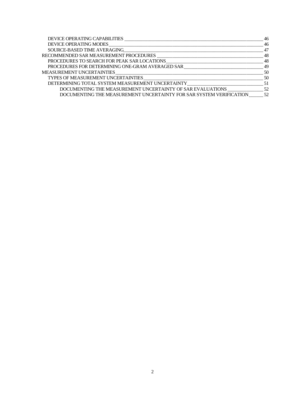| DOCUMENTING THE MEASUREMENT UNCERTAINTY FOR SAR SYSTEM VERIFICATION  52 |  |
|-------------------------------------------------------------------------|--|
|                                                                         |  |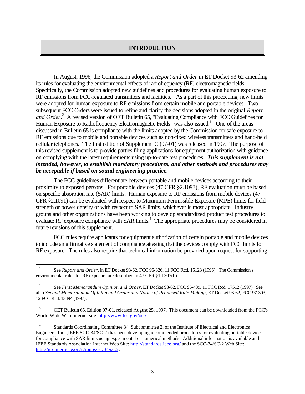### **INTRODUCTION**

In August, 1996, the Commission adopted a *Report and Order* in ET Docket 93-62 amending its rules for evaluating the environmental effects of radiofrequency (RF) electromagnetic fields. Specifically, the Commission adopted new guidelines and procedures for evaluating human exposure to RF emissions from FCC-regulated transmitters and facilities.<sup>1</sup> As a part of this proceeding, new limits were adopted for human exposure to RF emissions from certain mobile and portable devices. Two subsequent FCC Orders were issued to refine and clarify the decisions adopted in the original *Report* and Order.<sup>2</sup> A revised version of OET Bulletin 65, "Evaluating Compliance with FCC Guidelines for Human Exposure to Radiofrequency Electromagnetic Fields" was also issued.<sup>3</sup> One of the areas discussed in Bulletin 65 is compliance with the limits adopted by the Commission for safe exposure to RF emissions due to mobile and portable devices such as non-fixed wireless transmitters and hand-held cellular telephones. The first edition of Supplement C (97-01) was released in 1997. The purpose of this revised supplement is to provide parties filing applications for equipment authorization with guidance on complying with the latest requirements using up-to-date test procedures. *This supplement is not intended, however, to establish mandatory procedures, and other methods and procedures may be acceptable if based on sound engineering practice.*

The FCC guidelines differentiate between portable and mobile devices according to their proximity to exposed persons. For portable devices (47 CFR §2.1093), RF evaluation must be based on specific absorption rate (SAR) limits. Human exposure to RF emissions from mobile devices (47 CFR §2.1091) can be evaluated with respect to Maximum Permissible Exposure (MPE) limits for field strength or power density or with respect to SAR limits, whichever is most appropriate. Industry groups and other organizations have been working to develop standardized product test procedures to evaluate RF exposure compliance with SAR limits.<sup>4</sup> The appropriate procedures may be considered in future revisions of this supplement.

FCC rules require applicants for equipment authorization of certain portable and mobile devices to include an affirmative statement of compliance attesting that the devices comply with FCC limits for RF exposure. The rules also require that technical information be provided upon request for supporting

 $\overline{a}$ 

<sup>1</sup> See *Report and Order,* in ET Docket 93-62, FCC 96-326, 11 FCC Rcd. 15123 (1996). The Commission's environmental rules for RF exposure are described in 47 CFR §1.1307(b).

<sup>2</sup> See *First Memorandum Opinion and Order*, ET Docket 93-62, FCC 96-489, 11 FCC Rcd. 17512 (1997). See also *Second Memorandum Opinion and Order and Notice of Proposed Rule Making*, ET Docket 93-62, FCC 97-303, 12 FCC Rcd. 13494 (1997).

<sup>&</sup>lt;sup>3</sup> OET Bulletin 65, Edition 97-01, released August 25, 1997. This document can be downloaded from the FCC's World Wide Web Internet site: http://www.fcc.gov/oet/.

<sup>4</sup> Standards Coordinating Committee 34, Subcommittee 2, of the Institute of Electrical and Electronics Engineers, Inc. (IEEE SCC-34/SC-2) has been developing recommended procedures for evaluating portable devices for compliance with SAR limits using experimental or numerical methods. Additional information is available at the IEEE Standards Association Internet Web Site: http://standards.ieee.org/ and the SCC-34/SC-2 Web Site: http://grouper.ieee.org/groups/scc34/sc2/.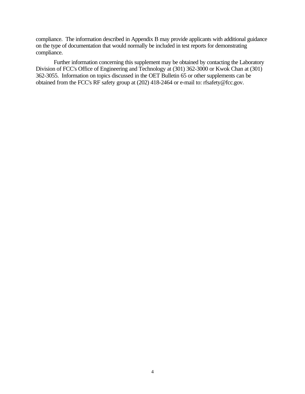compliance. The information described in Appendix B may provide applicants with additional guidance on the type of documentation that would normally be included in test reports for demonstrating compliance.

Further information concerning this supplement may be obtained by contacting the Laboratory Division of FCC's Office of Engineering and Technology at (301) 362-3000 or Kwok Chan at (301) 362-3055. Information on topics discussed in the OET Bulletin 65 or other supplements can be obtained from the FCC's RF safety group at (202) 418-2464 or e-mail to: rfsafety@fcc.gov.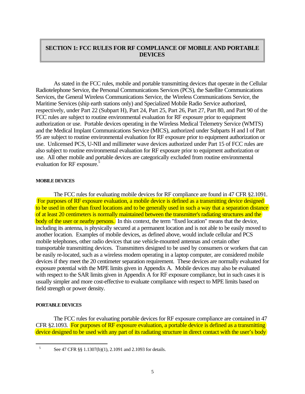# **SECTION 1: FCC RULES FOR RF COMPLIANCE OF MOBILE AND PORTABLE DEVICES**

As stated in the FCC rules, mobile and portable transmitting devices that operate in the Cellular Radiotelephone Service, the Personal Communications Services (PCS), the Satellite Communications Services, the General Wireless Communications Service, the Wireless Communications Service, the Maritime Services (ship earth stations only) and Specialized Mobile Radio Service authorized, respectively, under Part 22 (Subpart H), Part 24, Part 25, Part 26, Part 27, Part 80, and Part 90 of the FCC rules are subject to routine environmental evaluation for RF exposure prior to equipment authorization or use. Portable devices operating in the Wireless Medical Telemetry Service (WMTS) and the Medical Implant Communications Service (MICS), authorized under Subparts H and I of Part 95 are subject to routine environmental evaluation for RF exposure prior to equipment authorization or use. Unlicensed PCS, U-NII and millimeter wave devices authorized under Part 15 of FCC rules are also subject to routine environmental evaluation for RF exposure prior to equipment authorization or use. All other mobile and portable devices are categorically excluded from routine environmental evaluation for RF exposure.<sup>5</sup>

### **MOBILE DEVICES**

The FCC rules for evaluating mobile devices for RF compliance are found in 47 CFR §2.1091. For purposes of RF exposure evaluation, a mobile device is defined as a transmitting device designed to be used in other than fixed locations and to be generally used in such a way that a separation distance of at least 20 centimeters is normally maintained between the transmitter's radiating structures and the body of the user or nearby persons. In this context, the term "fixed location" means that the device, including its antenna, is physically secured at a permanent location and is not able to be easily moved to another location. Examples of mobile devices, as defined above, would include cellular and PCS mobile telephones, other radio devices that use vehicle-mounted antennas and certain other transportable transmitting devices. Transmitters designed to be used by consumers or workers that can be easily re-located, such as a wireless modem operating in a laptop computer, are considered mobile devices if they meet the 20 centimeter separation requirement. These devices are normally evaluated for exposure potential with the MPE limits given in Appendix A. Mobile devices may also be evaluated with respect to the SAR limits given in Appendix A for RF exposure compliance, but in such cases it is usually simpler and more cost-effective to evaluate compliance with respect to MPE limits based on field strength or power density.

### **PORTABLE DEVICES**

 $\overline{a}$ 

The FCC rules for evaluating portable devices for RF exposure compliance are contained in 47 CFR §2.1093. For purposes of RF exposure evaluation, a portable device is defined as a transmitting device designed to be used with any part of its radiating structure in direct contact with the user's body

<sup>5</sup> See 47 CFR §§ 1.1307(b)(1), 2.1091 and 2.1093 for details.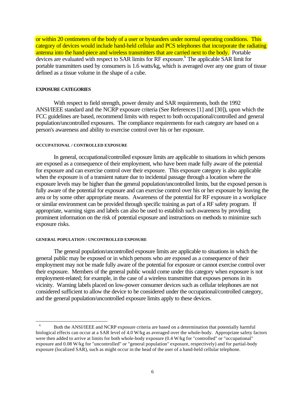or within 20 centimeters of the body of a user or bystanders under normal operating conditions. This category of devices would include hand-held cellular and PCS telephones that incorporate the radiating antenna into the hand-piece and wireless transmitters that are carried next to the body. Portable devices are evaluated with respect to SAR limits for RF exposure.<sup>6</sup> The applicable SAR limit for portable transmitters used by consumers is 1.6 watts/kg, which is averaged over any one gram of tissue defined as a tissue volume in the shape of a cube.

### **EXPOSURE CATEGORIES**

With respect to field strength, power density and SAR requirements, both the 1992 ANSI/IEEE standard and the NCRP exposure criteria (See References [1] and [30]), upon which the FCC guidelines are based, recommend limits with respect to both occupational/controlled and general population/uncontrolled exposures. The compliance requirements for each category are based on a person's awareness and ability to exercise control over his or her exposure.

### **OCCUPATIONAL / CONTROLLED EXPOSURE**

In general, occupational/controlled exposure limits are applicable to situations in which persons are exposed as a consequence of their employment, who have been made fully aware of the potential for exposure and can exercise control over their exposure. This exposure category is also applicable when the exposure is of a transient nature due to incidental passage through a location where the exposure levels may be higher than the general population/uncontrolled limits, but the exposed person is fully aware of the potential for exposure and can exercise control over his or her exposure by leaving the area or by some other appropriate means. Awareness of the potential for RF exposure in a workplace or similar environment can be provided through specific training as part of a RF safety program. If appropriate, warning signs and labels can also be used to establish such awareness by providing prominent information on the risk of potential exposure and instructions on methods to minimize such exposure risks.

### **GENERAL POPULATION / UNCONTROLLED EXPOSURE**

 $\overline{a}$ 

The general population/uncontrolled exposure limits are applicable to situations in which the general public may be exposed or in which persons who are exposed as a consequence of their employment may not be made fully aware of the potential for exposure or cannot exercise control over their exposure. Members of the general public would come under this category when exposure is not employment-related; for example, in the case of a wireless transmitter that exposes persons in its vicinity. Warning labels placed on low-power consumer devices such as cellular telephones are not considered sufficient to allow the device to be considered under the occupational/controlled category, and the general population/uncontrolled exposure limits apply to these devices.

<sup>6</sup> Both the ANSI/IEEE and NCRP exposure criteria are based on a determination that potentially harmful biological effects can occur at a SAR level of 4.0 W/kg as averaged over the whole-body. Appropriate safety factors were then added to arrive at limits for both whole-body exposure (0.4 W/kg for "controlled" or "occupational" exposure and 0.08 W/kg for "uncontrolled" or "general population" exposure, respectively) and for partial-body exposure (localized SAR), such as might occur in the head of the user of a hand-held cellular telephone.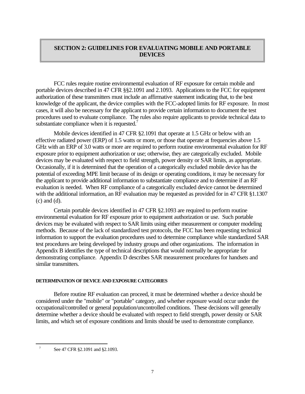# **SECTION 2: GUIDELINES FOR EVALUATING MOBILE AND PORTABLE DEVICES**

FCC rules require routine environmental evaluation of RF exposure for certain mobile and portable devices described in 47 CFR §§2.1091 and 2.1093. Applications to the FCC for equipment authorization of these transmitters must include an affirmative statement indicating that, to the best knowledge of the applicant, the device complies with the FCC-adopted limits for RF exposure. In most cases, it will also be necessary for the applicant to provide certain information to document the test procedures used to evaluate compliance. The rules also require applicants to provide technical data to substantiate compliance when it is requested.<sup>7</sup>

Mobile devices identified in 47 CFR §2.1091 that operate at 1.5 GHz or below with an effective radiated power (ERP) of 1.5 watts or more, or those that operate at frequencies above 1.5 GHz with an ERP of 3.0 watts or more are required to perform routine environmental evaluation for RF exposure prior to equipment authorization or use; otherwise, they are categorically excluded. Mobile devices may be evaluated with respect to field strength, power density or SAR limits, as appropriate. Occasionally, if it is determined that the operation of a categorically excluded mobile device has the potential of exceeding MPE limit because of its design or operating conditions, it may be necessary for the applicant to provide additional information to substantiate compliance and to determine if an RF evaluation is needed. When RF compliance of a categorically excluded device cannot be determined with the additional information, an RF evaluation may be requested as provided for in 47 CFR §1.1307 (c) and (d).

Certain portable devices identified in 47 CFR §2.1093 are required to perform routine environmental evaluation for RF exposure prior to equipment authorization or use. Such portable devices may be evaluated with respect to SAR limits using either measurement or computer modeling methods. Because of the lack of standardized test protocols, the FCC has been requesting technical information to support the evaluation procedures used to determine compliance while standardized SAR test procedures are being developed by industry groups and other organizations. The information in Appendix B identifies the type of technical descriptions that would normally be appropriate for demonstrating compliance. Appendix D describes SAR measurement procedures for handsets and similar transmitters.

### **DETERMINATION OF DEVICE AND EXPOSURE CATEGORIES**

Before routine RF evaluation can proceed, it must be determined whether a device should be considered under the "mobile" or "portable" category, and whether exposure would occur under the occupational/controlled or general population/uncontrolled conditions. These decisions will generally determine whether a device should be evaluated with respect to field strength, power density or SAR limits, and which set of exposure conditions and limits should be used to demonstrate compliance.

 $\overline{a}$ 

<sup>7</sup> See 47 CFR §2.1091 and §2.1093.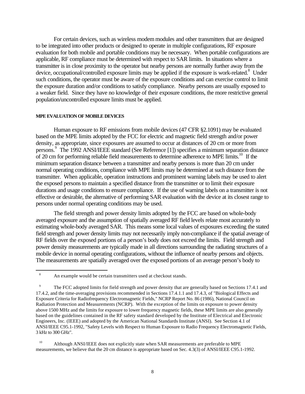For certain devices, such as wireless modem modules and other transmitters that are designed to be integrated into other products or designed to operate in multiple configurations, RF exposure evaluation for both mobile and portable conditions may be necessary. When portable configurations are applicable, RF compliance must be determined with respect to SAR limits. In situations where a transmitter is in close proximity to the operator but nearby persons are normally further away from the device, occupational/controlled exposure limits may be applied if the exposure is work-related.<sup>8</sup> Under such conditions, the operator must be aware of the exposure conditions and can exercise control to limit the exposure duration and/or conditions to satisfy compliance. Nearby persons are usually exposed to a weaker field. Since they have no knowledge of their exposure conditions, the more restrictive general population/uncontrolled exposure limits must be applied.

#### **MPE EVALUATION OF MOBILE DEVICES**

 $\overline{a}$ 

Human exposure to RF emissions from mobile devices (47 CFR §2.1091) may be evaluated based on the MPE limits adopted by the FCC for electric and magnetic field strength and/or power density, as appropriate, since exposures are assumed to occur at distances of 20 cm or more from persons. 9 The 1992 ANSI/IEEE standard (See Reference [1]) specifies a minimum separation distance of 20 cm for performing reliable field measurements to determine adherence to MPE limits.<sup>10</sup> If the minimum separation distance between a transmitter and nearby persons is more than 20 cm under normal operating conditions, compliance with MPE limits may be determined at such distance from the transmitter. When applicable, operation instructions and prominent warning labels may be used to alert the exposed persons to maintain a specified distance from the transmitter or to limit their exposure durations and usage conditions to ensure compliance. If the use of warning labels on a transmitter is not effective or desirable, the alternative of performing SAR evaluation with the device at its closest range to persons under normal operating conditions may be used.

The field strength and power density limits adopted by the FCC are based on whole-body averaged exposure and the assumption of spatially averaged RF field levels relate most accurately to estimating whole-body averaged SAR. This means some local values of exposures exceeding the stated field strength and power density limits may not necessarily imply non-compliance if the spatial average of RF fields over the exposed portions of a person's body does not exceed the limits. Field strength and power density measurements are typically made in all directions surrounding the radiating structures of a mobile device in normal operating configurations, without the influence of nearby persons and objects. The measurements are spatially averaged over the exposed portions of an average person's body to

<sup>10</sup> Although ANSI/IEEE does not explicitly state when SAR measurements are preferable to MPE measurements, we believe that the 20 cm distance is appropriate based on Sec. 4.3(3) of ANSI/IEEE C95.1-1992.

<sup>&</sup>lt;sup>8</sup> An example would be certain transmitters used at checkout stands.

<sup>9</sup> The FCC adopted limits for field strength and power density that are generally based on Sections 17.4.1 and 17.4.2, and the time-averaging provisions recommended in Sections 17.4.1.1 and 17.4.3, of "Biological Effects and Exposure Criteria for Radiofrequency Electromagnetic Fields," NCRP Report No. 86 (1986), National Council on Radiation Protection and Measurements (NCRP). With the exception of the limits on exposure to power density above 1500 MHz and the limits for exposure to lower frequency magnetic fields, these MPE limits are also generally based on the guidelines contained in the RF safety standard developed by the Institute of Electrical and Electronic Engineers, Inc. (IEEE) and adopted by the American National Standards Institute (ANSI). See Section 4.1 of ANSI/IEEE C95.1-1992, "Safety Levels with Respect to Human Exposure to Radio Frequency Electromagnetic Fields, 3 kHz to 300 GHz".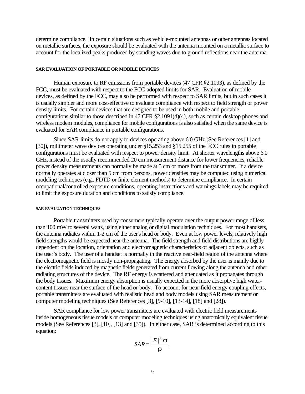determine compliance. In certain situations such as vehicle-mounted antennas or other antennas located on metallic surfaces, the exposure should be evaluated with the antenna mounted on a metallic surface to account for the localized peaks produced by standing waves due to ground reflections near the antenna.

#### **SAR EVALUATION OF PORTABLE OR MOBILE DEVICES**

Human exposure to RF emissions from portable devices (47 CFR §2.1093), as defined by the FCC, must be evaluated with respect to the FCC-adopted limits for SAR. Evaluation of mobile devices, as defined by the FCC, may also be performed with respect to SAR limits, but in such cases it is usually simpler and more cost-effective to evaluate compliance with respect to field strength or power density limits. For certain devices that are designed to be used in both mobile and portable configurations similar to those described in 47 CFR §2.1091(d)(4), such as certain desktop phones and wireless modem modules, compliance for mobile configurations is also satisfied when the same device is evaluated for SAR compliance in portable configurations.

Since SAR limits do not apply to devices operating above 6.0 GHz (See References [1] and [30]), millimeter wave devices operating under §15.253 and §15.255 of the FCC rules in portable configurations must be evaluated with respect to power density limit. At shorter wavelengths above 6.0 GHz, instead of the usually recommended 20 cm measurement distance for lower frequencies, reliable power density measurements can normally be made at 5 cm or more from the transmitter. If a device normally operates at closer than 5 cm from persons, power densities may be computed using numerical modeling techniques (e.g., FDTD or finite element methods) to determine compliance. In certain occupational/controlled exposure conditions, operating instructions and warnings labels may be required to limit the exposure duration and conditions to satisfy compliance.

#### **SAR EVALUATION TECHNIQUES**

Portable transmitters used by consumers typically operate over the output power range of less than 100 mW to several watts, using either analog or digital modulation techniques. For most handsets, the antenna radiates within 1-2 cm of the user's head or body. Even at low power levels, relatively high field strengths would be expected near the antenna. The field strength and field distributions are highly dependent on the location, orientation and electromagnetic characteristics of adjacent objects, such as the user's body. The user of a handset is normally in the reactive near-field region of the antenna where the electromagnetic field is mostly non-propagating. The energy absorbed by the user is mainly due to the electric fields induced by magnetic fields generated from current flowing along the antenna and other radiating structures of the device. The RF energy is scattered and attenuated as it propagates through the body tissues. Maximum energy absorption is usually expected in the more absorptive high watercontent tissues near the surface of the head or body. To account for near-field energy coupling effects, portable transmitters are evaluated with realistic head and body models using SAR measurement or computer modeling techniques (See References [3], [9-10], [13-14], [18] and [28]).

SAR compliance for low power transmitters are evaluated with electric field measurements inside homogeneous tissue models or computer modeling techniques using anatomically equivalent tissue models (See References [3], [10], [13] and [35]). In either case, SAR is determined according to this equation:

$$
SAR = \frac{|E|^2 \mathbf{S}}{r},
$$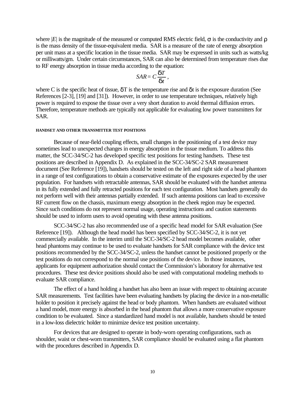where |*E*| is the magnitude of the measured or computed RMS electric field,  $\sigma$  is the conductivity and  $\rho$ is the mass density of the tissue-equivalent media. SAR is a measure of the rate of energy absorption per unit mass at a specific location in the tissue media. SAR may be expressed in units such as watts/kg or milliwatts/gm. Under certain circumstances, SAR can also be determined from temperature rises due to RF energy absorption in tissue media according to the equation:

$$
SAR = C\frac{dT}{dt},
$$

where C is the specific heat of tissue,  $\delta T$  is the temperature rise and  $\delta t$  is the exposure duration (See References [2-3], [19] and [31]). However, in order to use temperature techniques, relatively high power is required to expose the tissue over a very short duration to avoid thermal diffusion errors. Therefore, temperature methods are typically not applicable for evaluating low power transmitters for SAR.

#### **HANDSET AND OTHER TRANSMITTER TEST POSITIONS**

Because of near-field coupling effects, small changes in the positioning of a test device may sometimes lead to unexpected changes in energy absorption in the tissue medium. To address this matter, the SCC-34/SC-2 has developed specific test positions for testing handsets. These test positions are described in Appendix D. As explained in the SCC-34/SC-2 SAR measurement document (See Reference [19]), handsets should be tested on the left and right side of a head phantom in a range of test configurations to obtain a conservative estimate of the exposures expected by the user population. For handsets with retractable antennas, SAR should be evaluated with the handset antenna in its fully extended and fully retracted positions for each test configuration. Most handsets generally do not perform well with their antennas partially extended. If such antenna positions can lead to excessive RF current flow on the chassis, maximum energy absorption in the cheek region may be expected. Since such conditions do not represent normal usage, operating instructions and caution statements should be used to inform users to avoid operating with these antenna positions.

SCC-34/SC-2 has also recommended use of a specific head model for SAR evaluation (See Reference [19]). Although the head model has been specified by SCC-34/SC-2, it is not yet commercially available. In the interim until the SCC-34/SC-2 head model becomes available, other head phantoms may continue to be used to evaluate handsets for SAR compliance with the device test positions recommended by the SCC-34/SC-2, unless the handset cannot be positioned properly or the test positions do not correspond to the normal use positions of the device. In those instances, applicants for equipment authorization should contact the Commission's laboratory for alternative test procedures. These test device positions should also be used with computational modeling methods to evaluate SAR compliance.

The effect of a hand holding a handset has also been an issue with respect to obtaining accurate SAR measurements. Test facilities have been evaluating handsets by placing the device in a non-metallic holder to position it precisely against the head or body phantom. When handsets are evaluated without a hand model, more energy is absorbed in the head phantom that allows a more conservative exposure condition to be evaluated. Since a standardized hand model is not available, handsets should be tested in a low-loss dielectric holder to minimize device test position uncertainty.

For devices that are designed to operate in body-worn operating configurations, such as shoulder, waist or chest-worn transmitters, SAR compliance should be evaluated using a flat phantom with the procedures described in Appendix D.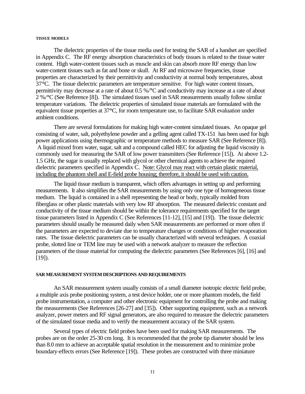#### **TISSUE MODELS**

The dielectric properties of the tissue media used for testing the SAR of a handset are specified in Appendix C. The RF energy absorption characteristics of body tissues is related to the tissue water content. High water-content tissues such as muscle and skin can absorb more RF energy than low water-content tissues such as fat and bone or skull. At RF and microwave frequencies, tissue properties are characterized by their permittivity and conductivity at normal body temperatures, about 37°C. The tissue dielectric parameters are temperature sensitive. For high water content tissues, permittivity may decrease at a rate of about 0.5 %/°C and conductivity may increase at a rate of about 2 %/°C (See Reference [8]). The simulated tissues used in SAR measurements usually follow similar temperature variations. The dielectric properties of simulated tissue materials are formulated with the equivalent tissue properties at 37°C, for room temperature use, to facilitate SAR evaluation under ambient conditions.

There are several formulations for making high water-content simulated tissues. An opaque gel consisting of water, salt, polyethylene powder and a gelling agent called TX-151 has been used for high power applications using thermographic or temperature methods to measure SAR (See Reference [8]). A liquid mixed from water, sugar, salt and a compound called HEC for adjusting the liquid viscosity is commonly used for measuring the SAR of low power transmitters (See Reference [15]). At above 1.2- 1.5 GHz, the sugar is usually replaced with glycol or other chemical agents to achieve the required dielectric parameters specified in Appendix C. Note: Glycol may react with certain plastic material, including the phantom shell and E-field probe housing; therefore, it should be used with caution.

The liquid tissue medium is transparent, which offers advantages in setting up and performing measurements. It also simplifies the SAR measurements by using only one type of homogeneous tissue medium. The liquid is contained in a shell representing the head or body, typically molded from fiberglass or other plastic materials with very low RF absorption. The measured dielectric constant and conductivity of the tissue medium should be within the tolerance requirements specified for the target tissue parameters listed in Appendix C (See References [11-12], [15] and [19]). The tissue dielectric parameters should usually be measured daily when SAR measurements are performed or more often if the parameters are expected to deviate due to temperature changes or conditions of higher evaporation rates. The tissue dielectric parameters can be usually characterized with several techniques. A coaxial probe, slotted line or TEM line may be used with a network analyzer to measure the reflection parameters of the tissue material for computing the dielectric parameters (See References [6], [16] and  $[19]$ ).

#### **SAR MEASUREMENT SYSTEM DESCRIPTIONS AND REQUIREMENTS**

An SAR measurement system usually consists of a small diameter isotropic electric field probe, a multiple axis probe positioning system, a test device holder, one or more phantom models, the field probe instrumentation, a computer and other electronic equipment for controlling the probe and making the measurements (See References [26-27] and [35]). Other supporting equipment, such as a network analyzer, power meters and RF signal generators, are also required to measure the dielectric parameters of the simulated tissue media and to verify the measurement accuracy of the SAR system.

Several types of electric field probes have been used for making SAR measurements. The probes are on the order 25-30 cm long. It is recommended that the probe tip diameter should be less than 8.0 mm to achieve an acceptable spatial resolution in the measurement and to minimize probe boundary-effects errors (See Reference [19]). These probes are constructed with three miniature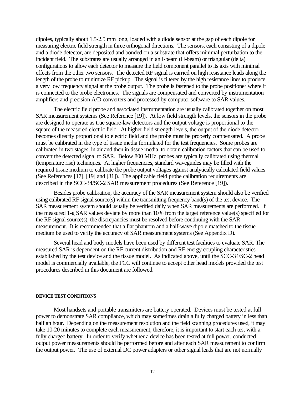dipoles, typically about 1.5-2.5 mm long, loaded with a diode sensor at the gap of each dipole for measuring electric field strength in three orthogonal directions. The sensors, each consisting of a dipole and a diode detector, are deposited and bonded on a substrate that offers minimal perturbation to the incident field. The substrates are usually arranged in an I-beam (H-beam) or triangular (delta) configurations to allow each detector to measure the field component parallel to its axis with minimal effects from the other two sensors. The detected RF signal is carried on high resistance leads along the length of the probe to minimize RF pickup. The signal is filtered by the high resistance lines to produce a very low frequency signal at the probe output. The probe is fastened to the probe positioner where it is connected to the probe electronics. The signals are compensated and converted by instrumentation amplifiers and precision A/D converters and processed by computer software to SAR values.

The electric field probe and associated instrumentation are usually calibrated together on most SAR measurement systems (See Reference [19]). At low field strength levels, the sensors in the probe are designed to operate as true square-law detectors and the output voltage is proportional to the square of the measured electric field. At higher field strength levels, the output of the diode detector becomes directly proportional to electric field and the probe must be properly compensated. A probe must be calibrated in the type of tissue media formulated for the test frequencies. Some probes are calibrated in two stages, in air and then in tissue media, to obtain calibration factors that can be used to convert the detected signal to SAR. Below 800 MHz, probes are typically calibrated using thermal (temperature rise) techniques. At higher frequencies, standard waveguides may be filled with the required tissue medium to calibrate the probe output voltages against analytically calculated field values (See References [17], [19] and [31]). The applicable field probe calibration requirements are described in the SCC-34/SC-2 SAR measurement procedures (See Reference [19]).

Besides probe calibration, the accuracy of the SAR measurement system should also be verified using calibrated RF signal source(s) within the transmitting frequency band(s) of the test device. The SAR measurement system should usually be verified daily when SAR measurements are performed. If the measured 1-g SAR values deviate by more than 10% from the target reference value(s) specified for the RF signal source(s), the discrepancies must be resolved before continuing with the SAR measurement. It is recommended that a flat phantom and a half-wave dipole matched to the tissue medium be used to verify the accuracy of SAR measurement systems (See Appendix D).

Several head and body models have been used by different test facilities to evaluate SAR. The measured SAR is dependent on the RF current distribution and RF energy coupling characteristics established by the test device and the tissue model. As indicated above, until the SCC-34/SC-2 head model is commercially available, the FCC will continue to accept other head models provided the test procedures described in this document are followed.

#### **DEVICE TEST CONDITIONS**

Most handsets and portable transmitters are battery operated. Devices must be tested at full power to demonstrate SAR compliance, which may sometimes drain a fully charged battery in less than half an hour. Depending on the measurement resolution and the field scanning procedures used, it may take 10-20 minutes to complete each measurement; therefore, it is important to start each test with a fully charged battery. In order to verify whether a device has been tested at full power, conducted output power measurements should be performed before and after each SAR measurement to confirm the output power. The use of external DC power adapters or other signal leads that are not normally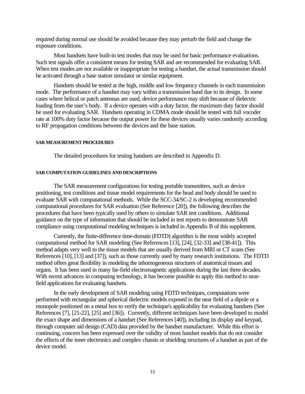required during normal use should be avoided because they may perturb the field and change the exposure conditions.

Most handsets have built-in test modes that may be used for basic performance evaluations. Such test signals offer a consistent means for testing SAR and are recommended for evaluating SAR. When test modes are not available or inappropriate for testing a handset, the actual transmission should be activated through a base station simulator or similar equipment.

Handsets should be tested at the high, middle and low frequency channels in each transmission mode. The performance of a handset may vary within a transmission band due to its design. In some cases where helical or patch antennas are used, device performance may shift because of dielectric loading from the user's body. If a device operates with a duty factor, the maximum duty factor should be used for evaluating SAR. Handsets operating in CDMA mode should be tested with full vocoder rate at 100% duty factor because the output power for these devices usually varies randomly according to RF propagation conditions between the devices and the base station.

### **SAR MEASUREMENT PROCEDURES**

The detailed procedures for testing handsets are described in Appendix D.

### **SAR COMPUTATION GUIDELINES AND DESCRIPTIONS**

The SAR measurement configurations for testing portable transmitters, such as device positioning, test conditions and tissue model requirements for the head and body should be used to evaluate SAR with computational methods. While the SCC-34/SC-2 is developing recommended computational procedures for SAR evaluation (See Reference [20]), the following describes the procedures that have been typically used by others to simulate SAR test conditions. Additional guidance on the type of information that should be included in test reports to demonstrate SAR compliance using computational modeling techniques is included in Appendix B of this supplement.

Currently, the finite-difference time-domain (FDTD) algorithm is the most widely accepted computational method for SAR modeling (See References [13], [24], [32-33] and [38-41]). This method adapts very well to the tissue models that are usually derived from MRI or CT scans (See References [10], [13] and [37]), such as those currently used by many research institutions. The FDTD method offers great flexibility in modeling the inhomogeneous structures of anatomical tissues and organs. It has been used in many far-field electromagnetic applications during the last three decades. With recent advances in computing technology, it has become possible to apply this method to nearfield applications for evaluating handsets.

In the early development of SAR modeling using FDTD techniques, computations were performed with rectangular and spherical dielectric models exposed in the near field of a dipole or a monopole positioned on a metal box to verify the technique's applicability for evaluating handsets (See References [7], [21-22], [25] and [36]). Currently, different techniques have been developed to model the exact shape and dimensions of a handset (See References [40]), including its display and keypad, through computer aid design (CAD) data provided by the handset manufacturer. While this effort is continuing, concern has been expressed over the validity of most handset models that do not consider the effects of the inner electronics and complex chassis or shielding structures of a handset as part of the device model.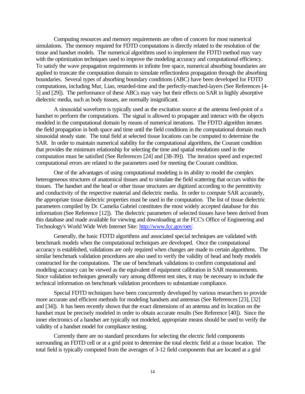Computing resources and memory requirements are often of concern for most numerical simulations. The memory required for FDTD computations is directly related to the resolution of the tissue and handset models. The numerical algorithms used to implement the FDTD method may vary with the optimization techniques used to improve the modeling accuracy and computational efficiency. To satisfy the wave propagation requirements in infinite free space, numerical absorbing boundaries are applied to truncate the computation domain to simulate reflectionless propagation through the absorbing boundaries. Several types of absorbing boundary conditions (ABC) have been developed for FDTD computations, including Mur, Liao, retarded-time and the perfectly-matched-layers (See References [4- 5] and [29]). The performance of these ABCs may vary but their effects on SAR in highly absorptive dielectric media, such as body tissues, are normally insignificant.

A sinusoidal waveform is typically used as the excitation source at the antenna feed-point of a handset to perform the computations. The signal is allowed to propagate and interact with the objects modeled in the computational domain by means of numerical iterations. The FDTD algorithm iterates the field propagation in both space and time until the field conditions in the computational domain reach sinusoidal steady state. The total field at selected tissue locations can be computed to determine the SAR. In order to maintain numerical stability for the computational algorithms, the Courant condition that provides the minimum relationship for selecting the time and spatial resolutions used in the computation must be satisfied (See References [24] and [38-39]). The iteration speed and expected computational errors are related to the parameters used for meeting the Courant condition.

One of the advantages of using computational modeling is its ability to model the complex heterogeneous structures of anatomical tissues and to simulate the field scattering that occurs within the tissues. The handset and the head or other tissue structures are digitized according to the permittivity and conductivity of the respective material and dielectric media. In order to compute SAR accurately, the appropriate tissue dielectric properties must be used in the computation. The list of tissue dielectric parameters compiled by Dr. Camelia Gabriel constitutes the most widely accepted database for this information (See Reference [12]). The dielectric parameters of selected tissues have been derived from this database and made available for viewing and downloading at the FCC's Office of Engineering and Technology's World Wide Web Internet Site: http://www.fcc.gov/oet/.

Generally, the basic FDTD algorithms and associated special techniques are validated with benchmark models when the computational techniques are developed. Once the computational accuracy is established, validations are only required when changes are made to certain algorithms. The similar benchmark validation procedures are also used to verify the validity of head and body models constructed for the computations. The use of benchmark validations to confirm computational and modeling accuracy can be viewed as the equivalent of equipment calibration in SAR measurements. Since validation techniques generally vary among different test sites, it may be necessary to include the technical information on benchmark validation procedures to substantiate compliance.

Special FDTD techniques have been concurrently developed by various researchers to provide more accurate and efficient methods for modeling handsets and antennas (See References [23], [32] and [34]). It has been recently shown that the exact dimensions of an antenna and its location on the handset must be precisely modeled in order to obtain accurate results (See Reference [40]). Since the inner electronics of a handset are typically not modeled, appropriate means should be used to verify the validity of a handset model for compliance testing.

Currently there are no standard procedures for selecting the electric field components surrounding an FDTD cell or at a grid point to determine the total electric field at a tissue location. The total field is typically computed from the averages of 3-12 field components that are located at a grid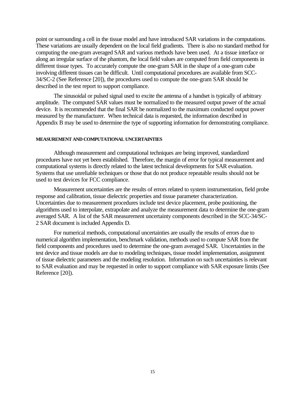point or surrounding a cell in the tissue model and have introduced SAR variations in the computations. These variations are usually dependent on the local field gradients. There is also no standard method for computing the one-gram averaged SAR and various methods have been used. At a tissue interface or along an irregular surface of the phantom, the local field values are computed from field components in different tissue types. To accurately compute the one-gram SAR in the shape of a one-gram cube involving different tissues can be difficult. Until computational procedures are available from SCC-34/SC-2 (See Reference [20]), the procedures used to compute the one-gram SAR should be described in the test report to support compliance.

The sinusoidal or pulsed signal used to excite the antenna of a handset is typically of arbitrary amplitude. The computed SAR values must be normalized to the measured output power of the actual device. It is recommended that the final SAR be normalized to the maximum conducted output power measured by the manufacturer. When technical data is requested, the information described in Appendix B may be used to determine the type of supporting information for demonstrating compliance.

### **MEASUREMENT AND COMPUTATIONAL UNCERTAINTIES**

Although measurement and computational techniques are being improved, standardized procedures have not yet been established. Therefore, the margin of error for typical measurement and computational systems is directly related to the latest technical developments for SAR evaluation. Systems that use unreliable techniques or those that do not produce repeatable results should not be used to test devices for FCC compliance.

Measurement uncertainties are the results of errors related to system instrumentation, field probe response and calibration, tissue dielectric properties and tissue parameter characterization. Uncertainties due to measurement procedures include test device placement, probe positioning, the algorithms used to interpolate, extrapolate and analyze the measurement data to determine the one-gram averaged SAR. A list of the SAR measurement uncertainty components described in the SCC-34/SC-2 SAR document is included Appendix D.

For numerical methods, computational uncertainties are usually the results of errors due to numerical algorithm implementation, benchmark validation, methods used to compute SAR from the field components and procedures used to determine the one-gram averaged SAR. Uncertainties in the test device and tissue models are due to modeling techniques, tissue model implementation, assignment of tissue dielectric parameters and the modeling resolution. Information on such uncertainties is relevant to SAR evaluation and may be requested in order to support compliance with SAR exposure limits (See Reference [20]).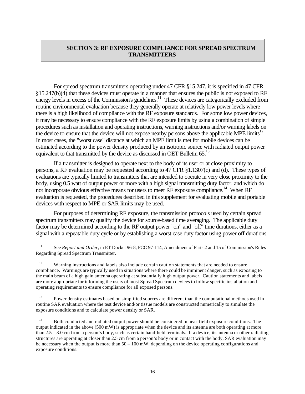# **SECTION 3: RF EXPOSURE COMPLIANCE FOR SPREAD SPECTRUM TRANSMITTERS**

For spread spectrum transmitters operating under 47 CFR §15.247, it is specified in 47 CFR §15.247(b)(4) that these devices must operate in a manner that ensures the public is not exposed to RF energy levels in excess of the Commission's guidelines.<sup>11</sup> These devices are categorically excluded from routine environmental evaluation because they generally operate at relatively low power levels where there is a high likelihood of compliance with the RF exposure standards. For some low power devices, it may be necessary to ensure compliance with the RF exposure limits by using a combination of simple procedures such as installation and operating instructions, warning instructions and/or warning labels on the device to ensure that the device will not expose nearby persons above the applicable MPE limits<sup>12</sup>. In most cases, the "worst case" distance at which an MPE limit is met for mobile devices can be estimated according to the power density produced by an isotropic source with radiated output power equivalent to that transmitted by the device as discussed in OET Bulletin 65.<sup>13</sup>

If a transmitter is designed to operate next to the body of its user or at close proximity to persons, a RF evaluation may be requested according to 47 CFR §1.1307(c) and (d). These types of evaluations are typically limited to transmitters that are intended to operate in very close proximity to the body, using 0.5 watt of output power or more with a high signal transmitting duty factor, and which do not incorporate obvious effective means for users to meet RF exposure compliance.<sup>14</sup> When RF evaluation is requested, the procedures described in this supplement for evaluating mobile and portable devices with respect to MPE or SAR limits may be used.

For purposes of determining RF exposure, the transmission protocols used by certain spread spectrum transmitters may qualify the device for source-based time averaging. The applicable duty factor may be determined according to the RF output power "on" and "off" time durations, either as a signal with a repeatable duty cycle or by establishing a worst case duty factor using power off durations

 $\overline{a}$ 

<sup>13</sup> Power density estimates based on simplified sources are different than the computational methods used in routine SAR evaluation where the test device and/or tissue models are constructed numerically to simulate the exposure conditions and to calculate power density or SAR.

<sup>14</sup> Both conducted and radiated output power should be considered in near-field exposure conditions. The output indicated in the above (500 mW) is appropriate when the device and its antenna are both operating at more than 2.5 – 3.0 cm from a person's body, such as certain hand-held terminals. If a device, its antenna or other radiating structures are operating at closer than 2.5 cm from a person's body or in contact with the body, SAR evaluation may be necessary when the output is more than  $50 - 100$  mW, depending on the device operating configurations and exposure conditions.

<sup>&</sup>lt;sup>11</sup> See *Report and Order*, in ET Docket 96-8, FCC 97-114, Amendment of Parts 2 and 15 of Commission's Rules Regarding Spread Spectrum Transmitter.

<sup>&</sup>lt;sup>12</sup> Warning instructions and labels also include certain caution statements that are needed to ensure compliance. Warnings are typically used in situations where there could be imminent danger, such as exposing to the main beam of a high gain antenna operating at substantially high output power. Caution statements and labels are more appropriate for informing the users of most Spread Spectrum devices to follow specific installation and operating requirements to ensure compliance for all exposed persons.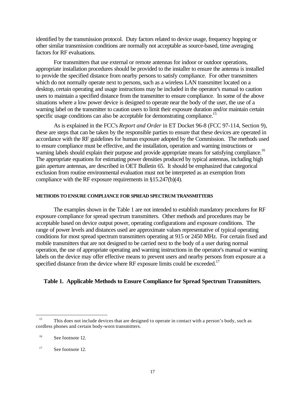identified by the transmission protocol. Duty factors related to device usage, frequency hopping or other similar transmission conditions are normally not acceptable as source-based, time averaging factors for RF evaluations.

For transmitters that use external or remote antennas for indoor or outdoor operations, appropriate installation procedures should be provided to the installer to ensure the antenna is installed to provide the specified distance from nearby persons to satisfy compliance. For other transmitters which do not normally operate next to persons, such as a wireless LAN transmitter located on a desktop, certain operating and usage instructions may be included in the operator's manual to caution users to maintain a specified distance from the transmitter to ensure compliance. In some of the above situations where a low power device is designed to operate near the body of the user, the use of a warning label on the transmitter to caution users to limit their exposure duration and/or maintain certain specific usage conditions can also be acceptable for demonstrating compliance.<sup>15</sup>

As is explained in the FCC's *Report and Order* in ET Docket 96-8 (FCC 97-114, Section 9), these are steps that can be taken by the responsible parties to ensure that these devices are operated in accordance with the RF guidelines for human exposure adopted by the Commission. The methods used to ensure compliance must be effective, and the installation, operation and warning instructions or warning labels should explain their purpose and provide appropriate means for satisfying compliance.<sup>16</sup> The appropriate equations for estimating power densities produced by typical antennas, including high gain aperture antennas, are described in OET Bulletin 65. It should be emphasized that categorical exclusion from routine environmental evaluation must not be interpreted as an exemption from compliance with the RF exposure requirements in §15.247(b)(4).

### **METHODS TO ENSURE COMPLIANCE FOR SPREAD SPECTRUM TRANSMITTERS**

The examples shown in the Table 1 are not intended to establish mandatory procedures for RF exposure compliance for spread spectrum transmitters. Other methods and procedures may be acceptable based on device output power, operating configurations and exposure conditions. The range of power levels and distances used are approximate values representative of typical operating conditions for most spread spectrum transmitters operating at 915 or 2450 MHz. For certain fixed and mobile transmitters that are not designed to be carried next to the body of a user during normal operation, the use of appropriate operating and warning instructions in the operator's manual or warning labels on the device may offer effective means to prevent users and nearby persons from exposure at a specified distance from the device where RF exposure limits could be exceeded.<sup>17</sup>

## **Table 1. Applicable Methods to Ensure Compliance for Spread Spectrum Transmitters.**

 $\overline{a}$ 

<sup>&</sup>lt;sup>15</sup> This does not include devices that are designed to operate in contact with a person's body, such as cordless phones and certain body-worn transmitters.

<sup>16</sup> See footnote 12.

<sup>&</sup>lt;sup>17</sup> See footnote 12.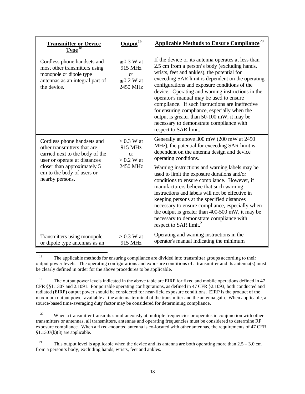| <b>Transmitter or Device</b><br>Type <sup>18</sup>                                                                                                                                                            | $Output^{19}$                                                   | Applicable Methods to Ensure Compliance <sup>20</sup>                                                                                                                                                                                                                                                                                                                                                                                                                                                                                                                                                                                                       |
|---------------------------------------------------------------------------------------------------------------------------------------------------------------------------------------------------------------|-----------------------------------------------------------------|-------------------------------------------------------------------------------------------------------------------------------------------------------------------------------------------------------------------------------------------------------------------------------------------------------------------------------------------------------------------------------------------------------------------------------------------------------------------------------------------------------------------------------------------------------------------------------------------------------------------------------------------------------------|
| Cordless phone handsets and<br>most other transmitters using<br>monopole or dipole type<br>antennas as an integral part of<br>the device.                                                                     | $< 0.3$ W at<br>915 MHz<br>$\alpha$<br>$< 0.2 W$ at<br>2450 MHz | If the device or its antenna operates at less than<br>2.5 cm from a person's body (excluding hands,<br>wrists, feet and ankles), the potential for<br>exceeding SAR limit is dependent on the operating<br>configurations and exposure conditions of the<br>device. Operating and warning instructions in the<br>operator's manual may be used to ensure<br>compliance. If such instructions are ineffective<br>for ensuring compliance, especially when the<br>output is greater than 50-100 mW, it may be<br>necessary to demonstrate compliance with<br>respect to SAR limit.                                                                            |
| Cordless phone handsets and<br>other transmitters that are<br>carried next to the body of the<br>user or operate at distances<br>closer than approximately 5<br>cm to the body of users or<br>nearby persons. | $> 0.3$ W at<br>915 MHz<br>$\alpha$<br>$> 0.2$ W at<br>2450 MHz | Generally at above 300 mW (200 mW at 2450)<br>MHz), the potential for exceeding SAR limit is<br>dependent on the antenna design and device<br>operating conditions.<br>Warning instructions and warning labels may be<br>used to limit the exposure durations and/or<br>conditions to ensure compliance. However, if<br>manufacturers believe that such warning<br>instructions and labels will not be effective in<br>keeping persons at the specified distances<br>necessary to ensure compliance, especially when<br>the output is greater than 400-500 mW, it may be<br>necessary to demonstrate compliance with<br>respect to SAR limit. <sup>21</sup> |
| Transmitters using monopole<br>or dipole type antennas as an                                                                                                                                                  | $> 0.3$ W at<br>915 MHz                                         | Operating and warning instructions in the<br>operator's manual indicating the minimum                                                                                                                                                                                                                                                                                                                                                                                                                                                                                                                                                                       |

 $\overline{a}$ <sup>18</sup> The applicable methods for ensuring compliance are divided into transmitter groups according to their output power levels. The operating configurations and exposure conditions of a transmitter and its antenna(s) must be clearly defined in order for the above procedures to be applicable.

<sup>19</sup> The output power levels indicated in the above table are EIRP for fixed and mobile operations defined in 47 CFR §§1.1307 and 2.1091. For portable operating configurations, as defined in 47 CFR §2.1093, both conducted and radiated (EIRP) output power should be considered for near-field exposure conditions. EIRP is the product of the maximum output power available at the antenna terminal of the transmitter and the antenna gain. When applicable, a source-based time-averaging duty factor may be considered for determining compliance.

<sup>20</sup> When a transmitter transmits simultaneously at multiple frequencies or operates in conjunction with other transmitters or antennas, all transmitters, antennas and operating frequencies must be considered to determine RF exposure compliance. When a fixed-mounted antenna is co-located with other antennas, the requirements of 47 CFR §1.1307(b)(3) are applicable.

<sup>21</sup> This output level is applicable when the device and its antenna are both operating more than  $2.5 - 3.0$  cm from a person's body; excluding hands, wrists, feet and ankles.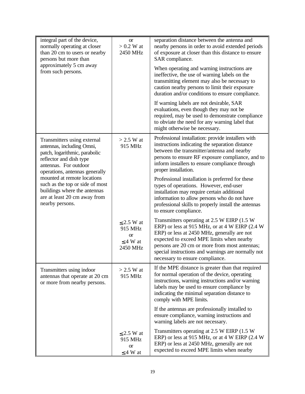| integral part of the device,<br>normally operating at closer<br>than 20 cm to users or nearby<br>persons but more than                                                          | <b>or</b><br>$> 0.2$ W at<br>2450 MHz                                | separation distance between the antenna and<br>nearby persons in order to avoid extended periods<br>of exposure at closer than this distance to ensure<br>SAR compliance.                                                                                                                                                           |
|---------------------------------------------------------------------------------------------------------------------------------------------------------------------------------|----------------------------------------------------------------------|-------------------------------------------------------------------------------------------------------------------------------------------------------------------------------------------------------------------------------------------------------------------------------------------------------------------------------------|
| approximately 5 cm away<br>from such persons.                                                                                                                                   |                                                                      | When operating and warning instructions are<br>ineffective, the use of warning labels on the<br>transmitting element may also be necessary to<br>caution nearby persons to limit their exposure<br>duration and/or conditions to ensure compliance.                                                                                 |
|                                                                                                                                                                                 |                                                                      | If warning labels are not desirable, SAR<br>evaluations, even though they may not be<br>required, may be used to demonstrate compliance<br>to obviate the need for any warning label that<br>might otherwise be necessary.                                                                                                          |
| Transmitters using external<br>antennas, including Omni,<br>patch, logarithmic, parabolic<br>reflector and dish type<br>antennas. For outdoor<br>operations, antennas generally | $>$ 2.5 W at<br>915 MHz                                              | Professional installation: provide installers with<br>instructions indicating the separation distance<br>between the transmitter/antenna and nearby<br>persons to ensure RF exposure compliance, and to<br>inform installers to ensure compliance through<br>proper installation.                                                   |
| mounted at remote locations<br>such as the top or side of most<br>buildings where the antennas<br>are at least 20 cm away from<br>nearby persons.                               |                                                                      | Professional installation is preferred for these<br>types of operations. However, end-user<br>installation may require certain additional<br>information to allow persons who do not have<br>professional skills to properly install the antennas<br>to ensure compliance.                                                          |
|                                                                                                                                                                                 | $\leq$ 2.5 W at<br>915 MHz<br><b>or</b><br>$\leq$ 4 W at<br>2450 MHz | Transmitters operating at 2.5 W EIRP (1.5 W<br>ERP) or less at 915 MHz, or at 4 W EIRP (2.4 W<br>ERP) or less at 2450 MHz, generally are not<br>expected to exceed MPE limits when nearby<br>persons are 20 cm or more from most antennas;<br>special instructions and warnings are normally not<br>necessary to ensure compliance. |
| Transmitters using indoor<br>antennas that operate at 20 cm<br>or more from nearby persons.                                                                                     | $>$ 2.5 W at<br>915 MHz                                              | If the MPE distance is greater than that required<br>for normal operation of the device, operating<br>instructions, warning instructions and/or warning<br>labels may be used to ensure compliance by<br>indicating the minimal separation distance to<br>comply with MPE limits.                                                   |
|                                                                                                                                                                                 |                                                                      | If the antennas are professionally installed to<br>ensure compliance, warning instructions and<br>warning labels are not necessary.                                                                                                                                                                                                 |
|                                                                                                                                                                                 | $\leq$ 2.5 W at<br>915 MHz<br><b>or</b><br>$\leq$ 4 W at             | Transmitters operating at 2.5 W EIRP (1.5 W<br>ERP) or less at 915 MHz, or at 4 W EIRP (2.4 W<br>ERP) or less at 2450 MHz, generally are not<br>expected to exceed MPE limits when nearby                                                                                                                                           |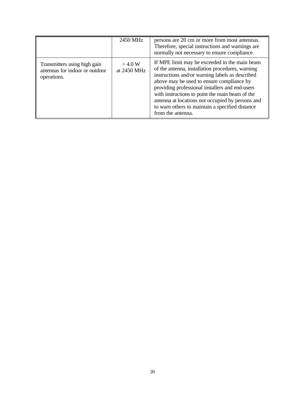|                                                                               | 2450 MHz              | persons are 20 cm or more from most antennas.<br>Therefore, special instructions and warnings are<br>normally not necessary to ensure compliance.                                                                                                                                                                                                                                                                                   |
|-------------------------------------------------------------------------------|-----------------------|-------------------------------------------------------------------------------------------------------------------------------------------------------------------------------------------------------------------------------------------------------------------------------------------------------------------------------------------------------------------------------------------------------------------------------------|
| Transmitters using high gain<br>antennas for indoor or outdoor<br>operations. | >4.0 W<br>at 2450 MHz | If MPE limit may be exceeded in the main beam<br>of the antenna, installation procedures, warning<br>instructions and/or warning labels as described<br>above may be used to ensure compliance by<br>providing professional installers and end-users<br>with instructions to point the main beam of the<br>antenna at locations not occupied by persons and<br>to warn others to maintain a specified distance<br>from the antenna. |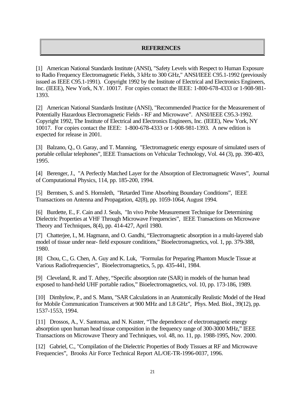# **REFERENCES**

[1] American National Standards Institute (ANSI), "Safety Levels with Respect to Human Exposure to Radio Frequency Electromagnetic Fields, 3 kHz to 300 GHz," ANSI/IEEE C95.1-1992 (previously issued as IEEE C95.1-1991). Copyright 1992 by the Institute of Electrical and Electronics Engineers, Inc. (IEEE), New York, N.Y. 10017. For copies contact the IEEE: 1-800-678-4333 or 1-908-981- 1393.

[2] American National Standards Institute (ANSI), "Recommended Practice for the Measurement of Potentially Hazardous Electromagnetic Fields - RF and Microwave". ANSI/IEEE C95.3-1992. Copyright 1992, The Institute of Electrical and Electronics Engineers, Inc. (IEEE), New York, NY 10017. For copies contact the IEEE: 1-800-678-4333 or 1-908-981-1393. A new edition is expected for release in 2001.

[3] Balzano, Q., O. Garay, and T. Manning, "Electromagnetic energy exposure of simulated users of portable cellular telephones", IEEE Transactions on Vehicular Technology, Vol. 44 (3), pp. 390-403, 1995.

[4] Berenger, J., "A Perfectly Matched Layer for the Absorption of Electromagnetic Waves", Journal of Computational Physics, 114, pp. 185-200, 1994.

[5] Berntsen, S. and S. Hornsleth, "Retarded Time Absorbing Boundary Conditions", IEEE Transactions on Antenna and Propagation, 42(8), pp. 1059-1064, August 1994.

[6] Burdette, E., F. Cain and J. Seals, "In vivo Probe Measurement Technique for Determining Dielectric Properties at VHF Through Microwave Frequencies", IEEE Transactions on Microwave Theory and Techniques, 8(4), pp. 414-427, April 1980.

[7] Chatterjee, I., M. Hagmann, and O. Gandhi, "Electromagnetic absorption in a multi-layered slab model of tissue under near- field exposure conditions," Bioelectromagnetics, vol. 1, pp. 379-388, 1980.

[8] Chou, C., G. Chen, A. Guy and K. Luk, "Formulas for Preparing Phantom Muscle Tissue at Various Radiofrequencies", Bioelectromagnetics, 5, pp. 435-441, 1984.

[9] Cleveland, R. and T. Athey, "Specific absorption rate (SAR) in models of the human head exposed to hand-held UHF portable radios," Bioelectromagnetics, vol. 10, pp. 173-186, 1989.

[10] Dimbylow, P., and S. Mann, "SAR Calculations in an Anatomically Realistic Model of the Head for Mobile Communication Transceivers at 900 MHz and 1.8 GHz", Phys. Med. Biol., 39(12), pp. 1537-1553, 1994.

[11] Drossos, A., V. Santomaa, and N. Kuster, "The dependence of electromagnetic energy absorption upon human head tissue composition in the frequency range of 300-3000 MHz," IEEE Transactions on Microwave Theory and Techniques, vol. 48, no. 11, pp. 1988-1995, Nov. 2000.

[12] Gabriel, C., "Compilation of the Dielectric Properties of Body Tissues at RF and Microwave Frequencies", Brooks Air Force Technical Report AL/OE-TR-1996-0037, 1996.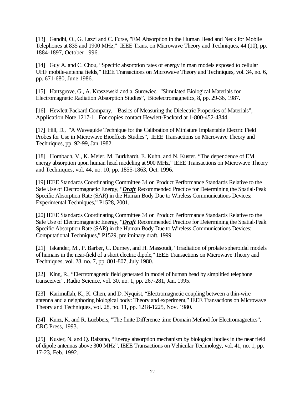[13] Gandhi, O., G. Lazzi and C. Furse, "EM Absorption in the Human Head and Neck for Mobile Telephones at 835 and 1900 MHz," IEEE Trans. on Microwave Theory and Techniques, 44 (10), pp. 1884-1897, October 1996.

[14] Guy A. and C. Chou, "Specific absorption rates of energy in man models exposed to cellular UHF mobile-antenna fields," IEEE Transactions on Microwave Theory and Techniques, vol. 34, no. 6, pp. 671-680, June 1986.

[15] Hartsgrove, G., A. Kraszewski and a. Surowiec, "Simulated Biological Materials for Electromagnetic Radiation Absorption Studies", Bioelectromagnetics, 8, pp. 29-36, 1987.

[16] Hewlett-Packard Company, "Basics of Measuring the Dielectric Properties of Materials", Application Note 1217-1. For copies contact Hewlett-Packard at 1-800-452-4844.

[17] Hill, D., "A Waveguide Technique for the Calibration of Miniature Implantable Electric Field Probes for Use in Microwave Bioeffects Studies", IEEE Transactions on Microwave Theory and Techniques, pp. 92-99, Jan 1982.

[18] Hombach, V., K. Meier, M. Burkhardt, E. Kuhn, and N. Kuster, "The dependence of EM energy absorption upon human head modeling at 900 MHz," IEEE Transactions on Microwave Theory and Techniques, vol. 44, no. 10, pp. 1855-1863, Oct. 1996.

[19] IEEE Standards Coordinating Committee 34 on Product Performance Standards Relative to the Safe Use of Electromagnetic Energy, "*Draft* Recommended Practice for Determining the Spatial-Peak Specific Absorption Rate (SAR) in the Human Body Due to Wireless Communications Devices: Experimental Techniques," P1528, 2001.

[20] IEEE Standards Coordinating Committee 34 on Product Performance Standards Relative to the Safe Use of Electromagnetic Energy, "*Draft* Recommended Practice for Determining the Spatial-Peak Specific Absorption Rate (SAR) in the Human Body Due to Wireless Communications Devices: Computational Techniques," P1529, preliminary draft, 1999.

[21] Iskander, M., P. Barber, C. Durney, and H. Massoudi, "Irradiation of prolate spheroidal models of humans in the near-field of a short electric dipole," IEEE Transactions on Microwave Theory and Techniques, vol. 28, no. 7, pp. 801-807, July 1980.

[22] King, R., "Electromagnetic field generated in model of human head by simplified telephone transceiver", Radio Science, vol. 30, no. 1, pp. 267-281, Jan. 1995.

[23] Karimullah, K., K. Chen, and D. Nyquist, "Electromagnetic coupling between a thin-wire antenna and a neighboring biological body: Theory and experiment," IEEE Transactions on Microwave Theory and Techniques, vol. 28, no. 11, pp. 1218-1225, Nov. 1980.

[24] Kunz, K. and R. Luebbers, "The finite Difference time Domain Method for Electromagnetics", CRC Press, 1993.

[25] Kuster, N. and Q. Balzano, "Energy absorption mechanism by biological bodies in the near field of dipole antennas above 300 MHz", IEEE Transactions on Vehicular Technology, vol. 41, no. 1, pp. 17-23, Feb. 1992.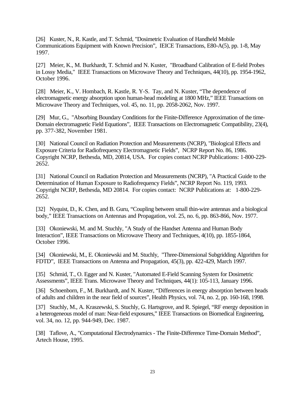[26] Kuster, N., R. Kastle, and T. Schmid, "Dosimetric Evaluation of Handheld Mobile Communications Equipment with Known Precision", IEICE Transactions, E80-A(5), pp. 1-8, May 1997.

[27] Meier, K., M. Burkhardt, T. Schmid and N. Kuster, "Broadband Calibration of E-field Probes in Lossy Media," IEEE Transactions on Microwave Theory and Techniques, 44(10), pp. 1954-1962, October 1996.

[28] Meier, K., V. Hombach, R. Kastle, R. Y-S. Tay, and N. Kuster, "The dependence of electromagnetic energy absorption upon human-head modeling at 1800 MHz," IEEE Transactions on Microwave Theory and Techniques, vol. 45, no. 11, pp. 2058-2062, Nov. 1997.

[29] Mur, G., "Absorbing Boundary Conditions for the Finite-Difference Approximation of the time-Domain electromagnetic Field Equations", IEEE Transactions on Electromagnetic Compatibility, 23(4), pp. 377-382, November 1981.

[30] National Council on Radiation Protection and Measurements (NCRP), "Biological Effects and Exposure Criteria for Radiofrequency Electromagnetic Fields", NCRP Report No. 86, 1986. Copyright NCRP, Bethesda, MD, 20814, USA. For copies contact NCRP Publications: 1-800-229- 2652.

[31] National Council on Radiation Protection and Measurements (NCRP), "A Practical Guide to the Determination of Human Exposure to Radiofrequency Fields", NCRP Report No. 119, 1993. Copyright NCRP, Bethesda, MD 20814. For copies contact: NCRP Publications at: 1-800-229- 2652.

[32] Nyquist, D., K. Chen, and B. Guru, "Coupling between small thin-wire antennas and a biological body," IEEE Transactions on Antennas and Propagation, vol. 25, no. 6, pp. 863-866, Nov. 1977.

[33] Okoniewski, M. and M. Stuchly, "A Study of the Handset Antenna and Human Body Interaction", IEEE Transactions on Microwave Theory and Techniques, 4(10), pp. 1855-1864, October 1996.

[34] Okoniewski, M., E. Okoniewski and M. Stuchly, "Three-Dimensional Subgridding Algorithm for FDTD", IEEE Transactions on Antenna and Propagation, 45(3), pp. 422-429, March 1997.

[35] Schmid, T., O. Egger and N. Kuster, "Automated E-Field Scanning System for Dosimetric Assessments", IEEE Trans. Microwave Theory and Techniques, 44(1): 105-113, January 1996.

[36] Schoenborn, F., M. Burkhardt, and N. Kuster, "Differences in energy absorption between heads of adults and children in the near field of sources", Health Physics, vol. 74, no. 2, pp. 160-168, 1998.

[37] Stuchly, M., A. Kraszewski, S. Stuchly, G. Hartsgrove, and R. Spiegel, "RF energy deposition in a heterogeneous model of man: Near-field exposures," IEEE Transactions on Biomedical Engineering, vol. 34, no. 12, pp. 944-949, Dec. 1987.

[38] Taflove, A., "Computational Electrodynamics - The Finite-Difference Time-Domain Method", Artech House, 1995.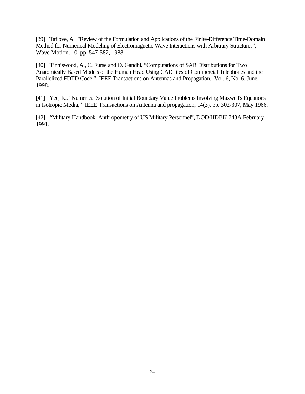[39] Taflove, A. "Review of the Formulation and Applications of the Finite-Difference Time-Domain Method for Numerical Modeling of Electromagnetic Wave Interactions with Arbitrary Structures", Wave Motion, 10, pp. 547-582, 1988.

[40] Tinniswood, A., C. Furse and O. Gandhi, "Computations of SAR Distributions for Two Anatomically Based Models of the Human Head Using CAD files of Commercial Telephones and the Parallelized FDTD Code," IEEE Transactions on Antennas and Propagation. Vol. 6, No. 6, June, 1998.

[41] Yee, K., "Numerical Solution of Initial Boundary Value Problems Involving Maxwell's Equations in Isotropic Media," IEEE Transactions on Antenna and propagation, 14(3), pp. 302-307, May 1966.

[42] "Military Handbook, Anthropometry of US Military Personnel", DOD-HDBK 743A February 1991.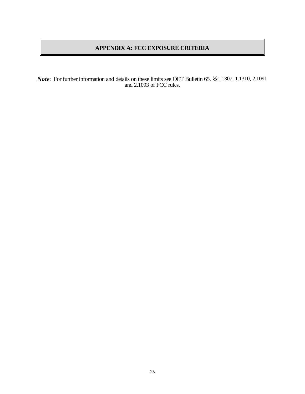# **APPENDIX A: FCC EXPOSURE CRITERIA**

*Note*: For further information and details on these limits see OET Bulletin 65, §§1.1307, 1.1310, 2.1091 and 2.1093 of FCC rules.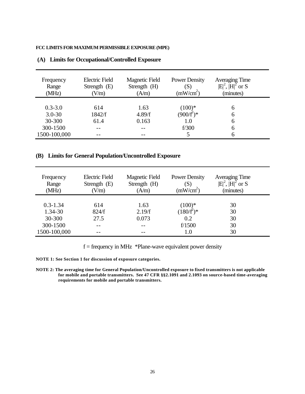### **FCC LIMITS FOR MAXIMUM PERMISSIBLE EXPOSURE (MPE)**

| Frequency<br>Range<br>(MHz) | <b>Electric Field</b><br>Strength $(E)$<br>(V/m) | <b>Magnetic Field</b><br>Strength (H)<br>(A/m) | <b>Power Density</b><br>$\left( \text{S}\right)$<br>(mW/cm <sup>2</sup> ) | Averaging Time<br>$ E ^2$ , $ H ^2$ or S<br>(minutes) |
|-----------------------------|--------------------------------------------------|------------------------------------------------|---------------------------------------------------------------------------|-------------------------------------------------------|
|                             |                                                  |                                                |                                                                           |                                                       |
| $0.3 - 3.0$                 | 614                                              | 1.63                                           | $(100)*$                                                                  | h                                                     |
| $3.0 - 30$                  | 1842/f                                           | 4.89/f                                         | $(900/f^2)^*$                                                             | h                                                     |
| 30-300                      | 61.4                                             | 0.163                                          | 1.0                                                                       | 6                                                     |
| 300-1500                    |                                                  |                                                | f/300                                                                     | 6                                                     |
| 1500-100,000                | --                                               |                                                |                                                                           |                                                       |

### **(A) Limits for Occupational/Controlled Exposure**

## **(B) Limits for General Population/Uncontrolled Exposure**

| Frequency<br>Range<br>(MHz) | <b>Electric Field</b><br>Strength $(E)$<br>V/m | <b>Magnetic Field</b><br>Strength (H)<br>(A/m) | <b>Power Density</b><br>(S)<br>(mW/cm <sup>2</sup> ) | <b>Averaging Time</b><br>$ E ^2$ , $ H ^2$ or S<br>(minutes) |  |
|-----------------------------|------------------------------------------------|------------------------------------------------|------------------------------------------------------|--------------------------------------------------------------|--|
|                             |                                                |                                                |                                                      |                                                              |  |
| $0.3 - 1.34$                | 614                                            | 1.63                                           | $(100)*$                                             | 30                                                           |  |
| 1.34-30                     | 824/f                                          | 2.19/f                                         | $(180/f^2)^*$                                        | 30                                                           |  |
| 30-300                      | 27.5                                           | 0.073                                          | 0.2                                                  | 30                                                           |  |
| 300-1500                    | --                                             |                                                | f/1500                                               | 30                                                           |  |
| 1500-100,000                |                                                |                                                | 1.0                                                  | 30                                                           |  |

 $f = \text{frequency in MHz}$  \*Plane-wave equivalent power density

**NOTE 1: See Section 1 for discussion of exposure categories.**

**NOTE 2: The averaging time for General Population/Uncontrolled exposure to fixed transmitters is not applicable for mobile and portable transmitters. See 47 CFR §§2.1091 and 2.1093 on source-based time-averaging requirements for mobile and portable transmitters.**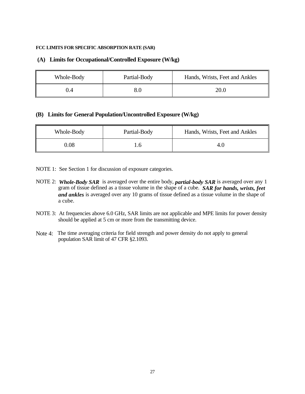### **FCC LIMITS FOR SPECIFIC ABSORPTION RATE (SAR)**

### **(A) Limits for Occupational/Controlled Exposure (W/kg)**

| Whole-Body | Partial-Body | Hands, Wrists, Feet and Ankles |
|------------|--------------|--------------------------------|
| 0.4        |              | 20.0                           |

### **(B) Limits for General Population/Uncontrolled Exposure (W/kg)**

| Whole-Body | Partial-Body | Hands, Wrists, Feet and Ankles |
|------------|--------------|--------------------------------|
| 0.08       |              | 4.U                            |

NOTE 1: See Section 1 for discussion of exposure categories.

- NOTE 2: *Whole-Body SAR* is averaged over the entire body, *partial-body SAR* is averaged over any 1 gram of tissue defined as a tissue volume in the shape of a cube. *SAR for hands, wrists, feet and ankles* is averaged over any 10 grams of tissue defined as a tissue volume in the shape of a cube.
- NOTE 3: At frequencies above 6.0 GHz, SAR limits are not applicable and MPE limits for power density should be applied at 5 cm or more from the transmitting device.
- Note 4: The time averaging criteria for field strength and power density do not apply to general population SAR limit of 47 CFR §2.1093.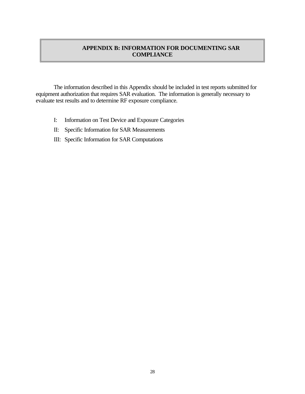# **APPENDIX B: INFORMATION FOR DOCUMENTING SAR COMPLIANCE**

The information described in this Appendix should be included in test reports submitted for equipment authorization that requires SAR evaluation. The information is generally necessary to evaluate test results and to determine RF exposure compliance.

- I: Information on Test Device and Exposure Categories
- II: Specific Information for SAR Measurements
- III: Specific Information for SAR Computations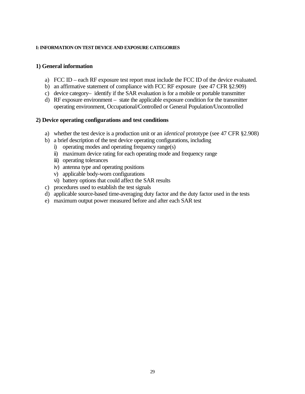### **I: INFORMATION ON TEST DEVICE AND EXPOSURE CATEGORIES**

# **1) General information**

- a) FCC ID each RF exposure test report must include the FCC ID of the device evaluated.
- b) an affirmative statement of compliance with FCC RF exposure (see 47 CFR §2.909)
- c) device category– identify if the SAR evaluation is for a mobile or portable transmitter
- d) RF exposure environment state the applicable exposure condition for the transmitter operating environment, Occupational/Controlled or General Population/Uncontrolled

# **2) Device operating configurations and test conditions**

- a) whether the test device is a production unit or an *identical* prototype (see 47 CFR §2.908)
- b) a brief description of the test device operating configurations, including
	- i) operating modes and operating frequency range(s)
	- ii) maximum device rating for each operating mode and frequency range
	- iii) operating tolerances
	- iv) antenna type and operating positions
	- v) applicable body-worn configurations
	- vi) battery options that could affect the SAR results
- c) procedures used to establish the test signals
- d) applicable source-based time-averaging duty factor and the duty factor used in the tests
- e) maximum output power measured before and after each SAR test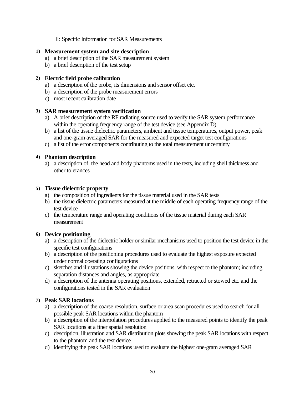II: Specific Information for SAR Measurements

# **1) Measurement system and site description**

- a) a brief description of the SAR measurement system
- b) a brief description of the test setup

# **2) Electric field probe calibration**

- a) a description of the probe, its dimensions and sensor offset etc.
- b) a description of the probe measurement errors
- c) most recent calibration date

# **3) SAR measurement system verification**

- a) A brief description of the RF radiating source used to verify the SAR system performance within the operating frequency range of the test device (see Appendix D)
- b) a list of the tissue dielectric parameters, ambient and tissue temperatures, output power, peak and one-gram averaged SAR for the measured and expected target test configurations
- c) a list of the error components contributing to the total measurement uncertainty

# **4) Phantom description**

a) a description of the head and body phantoms used in the tests, including shell thickness and other tolerances

# **5) Tissue dielectric property**

- a) the composition of ingredients for the tissue material used in the SAR tests
- b) the tissue dielectric parameters measured at the middle of each operating frequency range of the test device
- c) the temperature range and operating conditions of the tissue material during each SAR measurement

# **6) Device positioning**

- a) a description of the dielectric holder or similar mechanisms used to position the test device in the specific test configurations
- b) a description of the positioning procedures used to evaluate the highest exposure expected under normal operating configurations
- c) sketches and illustrations showing the device positions, with respect to the phantom; including separation distances and angles, as appropriate
- d) a description of the antenna operating positions, extended, retracted or stowed etc. and the configurations tested in the SAR evaluation

# **7) Peak SAR locations**

- a) a description of the coarse resolution, surface or area scan procedures used to search for all possible peak SAR locations within the phantom
- b) a description of the interpolation procedures applied to the measured points to identify the peak SAR locations at a finer spatial resolution
- c) description, illustration and SAR distribution plots showing the peak SAR locations with respect to the phantom and the test device
- d) identifying the peak SAR locations used to evaluate the highest one-gram averaged SAR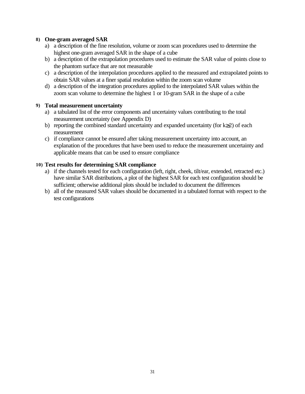## **8) One-gram averaged SAR**

- a) a description of the fine resolution, volume or zoom scan procedures used to determine the highest one-gram averaged SAR in the shape of a cube
- b) a description of the extrapolation procedures used to estimate the SAR value of points close to the phantom surface that are not measurable
- c) a description of the interpolation procedures applied to the measured and extrapolated points to obtain SAR values at a finer spatial resolution within the zoom scan volume
- d) a description of the integration procedures applied to the interpolated SAR values within the zoom scan volume to determine the highest 1 or 10-gram SAR in the shape of a cube

## **9) Total measurement uncertainty**

- a) a tabulated list of the error components and uncertainty values contributing to the total measurement uncertainty (see Appendix D)
- b) reporting the combined standard uncertainty and expanded uncertainty (for k≥2) of each measurement
- c) if compliance cannot be ensured after taking measurement uncertainty into account, an explanation of the procedures that have been used to reduce the measurement uncertainty and applicable means that can be used to ensure compliance

# **10) Test results for determining SAR compliance**

- a) if the channels tested for each configuration (left, right, cheek, tilt/ear, extended, retracted etc.) have similar SAR distributions, a plot of the highest SAR for each test configuration should be sufficient; otherwise additional plots should be included to document the differences
- b) all of the measured SAR values should be documented in a tabulated format with respect to the test configurations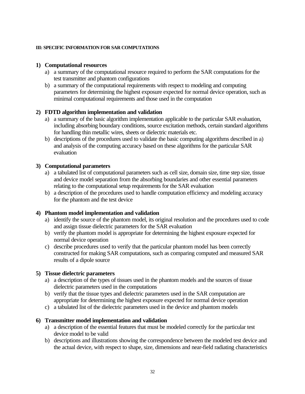### **III: SPECIFIC INFORMATION FOR SAR COMPUTATIONS**

# **1) Computational resources**

- a) a summary of the computational resource required to perform the SAR computations for the test transmitter and phantom configurations
- b) a summary of the computational requirements with respect to modeling and computing parameters for determining the highest exposure expected for normal device operation, such as minimal computational requirements and those used in the computation

# **2) FDTD algorithm implementation and validation**

- a) a summary of the basic algorithm implementation applicable to the particular SAR evaluation, including absorbing boundary conditions, source excitation methods, certain standard algorithms for handling thin metallic wires, sheets or dielectric materials etc.
- b) descriptions of the procedures used to validate the basic computing algorithms described in a) and analysis of the computing accuracy based on these algorithms for the particular SAR evaluation

# **3) Computational parameters**

- a) a tabulated list of computational parameters such as cell size, domain size, time step size, tissue and device model separation from the absorbing boundaries and other essential parameters relating to the computational setup requirements for the SAR evaluation
- b) a description of the procedures used to handle computation efficiency and modeling accuracy for the phantom and the test device

## **4) Phantom model implementation and validation**

- a) identify the source of the phantom model, its original resolution and the procedures used to code and assign tissue dielectric parameters for the SAR evaluation
- b) verify the phantom model is appropriate for determining the highest exposure expected for normal device operation
- c) describe procedures used to verify that the particular phantom model has been correctly constructed for making SAR computations, such as comparing computed and measured SAR results of a dipole source

## **5) Tissue dielectric parameters**

- a) a description of the types of tissues used in the phantom models and the sources of tissue dielectric parameters used in the computations
- b) verify that the tissue types and dielectric parameters used in the SAR computation are appropriate for determining the highest exposure expected for normal device operation
- c) a tabulated list of the dielectric parameters used in the device and phantom models

## **6) Transmitter model implementation and validation**

- a) a description of the essential features that must be modeled correctly for the particular test device model to be valid
- b) descriptions and illustrations showing the correspondence between the modeled test device and the actual device, with respect to shape, size, dimensions and near-field radiating characteristics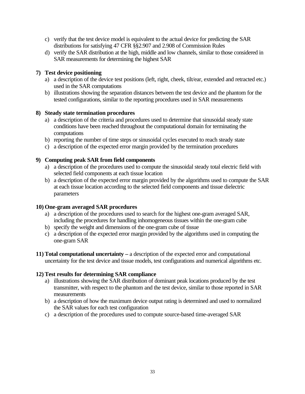- c) verify that the test device model is equivalent to the actual device for predicting the SAR distributions for satisfying 47 CFR §§2.907 and 2.908 of Commission Rules
- d) verify the SAR distribution at the high, middle and low channels, similar to those considered in SAR measurements for determining the highest SAR

# **7) Test device positioning**

- a) a description of the device test positions (left, right, cheek, tilt/ear, extended and retracted etc.) used in the SAR computations
- b) illustrations showing the separation distances between the test device and the phantom for the tested configurations, similar to the reporting procedures used in SAR measurements

# **8) Steady state termination procedures**

- a) a description of the criteria and procedures used to determine that sinusoidal steady state conditions have been reached throughout the computational domain for terminating the computations
- b) reporting the number of time steps or sinusoidal cycles executed to reach steady state
- c) a description of the expected error margin provided by the termination procedures

# **9) Computing peak SAR from field components**

- a) a description of the procedures used to compute the sinusoidal steady total electric field with selected field components at each tissue location
- b) a description of the expected error margin provided by the algorithms used to compute the SAR at each tissue location according to the selected field components and tissue dielectric parameters

# **10) One-gram averaged SAR procedures**

- a) a description of the procedures used to search for the highest one-gram averaged SAR, including the procedures for handling inhomogeneous tissues within the one-gram cube
- b) specify the weight and dimensions of the one-gram cube of tissue
- c) a description of the expected error margin provided by the algorithms used in computing the one-gram SAR
- **11) Total computational uncertainty** a description of the expected error and computational uncertainty for the test device and tissue models, test configurations and numerical algorithms etc.

# **12) Test results for determining SAR compliance**

- a) illustrations showing the SAR distribution of dominant peak locations produced by the test transmitter, with respect to the phantom and the test device, similar to those reported in SAR measurements
- b) a description of how the maximum device output rating is determined and used to normalized the SAR values for each test configuration
- c) a description of the procedures used to compute source-based time-averaged SAR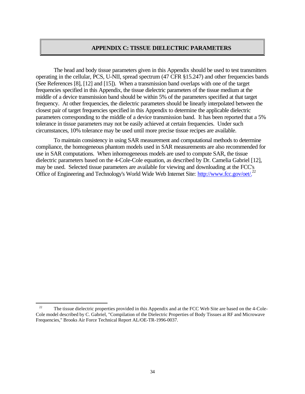### **APPENDIX C: TISSUE DIELECTRIC PARAMETERS**

The head and body tissue parameters given in this Appendix should be used to test transmitters operating in the cellular, PCS, U-NII, spread spectrum (47 CFR §15.247) and other frequencies bands (See References [8], [12] and [15]). When a transmission band overlaps with one of the target frequencies specified in this Appendix, the tissue dielectric parameters of the tissue medium at the middle of a device transmission band should be within 5% of the parameters specified at that target frequency. At other frequencies, the dielectric parameters should be linearly interpolated between the closest pair of target frequencies specified in this Appendix to determine the applicable dielectric parameters corresponding to the middle of a device transmission band. It has been reported that a 5% tolerance in tissue parameters may not be easily achieved at certain frequencies. Under such circumstances, 10% tolerance may be used until more precise tissue recipes are available.

To maintain consistency in using SAR measurement and computational methods to determine compliance, the homogeneous phantom models used in SAR measurements are also recommended for use in SAR computations. When inhomogeneous models are used to compute SAR, the tissue dielectric parameters based on the 4-Cole-Cole equation, as described by Dr. Camelia Gabriel [12], may be used. Selected tissue parameters are available for viewing and downloading at the FCC's Office of Engineering and Technology's World Wide Web Internet Site: http://www.fcc.gov/oet/.<sup>22</sup>

 $\overline{a}$ 

<sup>&</sup>lt;sup>22</sup> The tissue dielectric properties provided in this Appendix and at the FCC Web Site are based on the 4-Cole-Cole model described by C. Gabriel, "Compilation of the Dielectric Properties of Body Tissues at RF and Microwave Frequencies," Brooks Air Force Technical Report AL/OE-TR-1996-0037.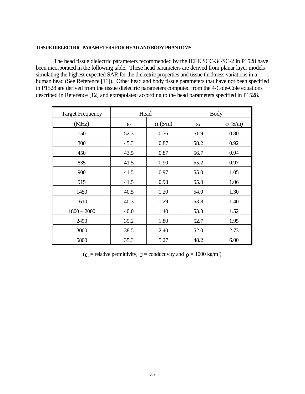#### **TISSUE DIELECTRIC PARAMETERS FOR HEAD AND BODY PHANTOMS**

The head tissue dielectric parameters recommended by the IEEE SCC-34/SC-2 in P1528 have been incorporated in the following table. These head parameters are derived from planar layer models simulating the highest expected SAR for the dielectric properties and tissue thickness variations in a human head (See Reference [11]). Other head and body tissue parameters that have not been specified in P1528 are derived from the tissue dielectric parameters computed from the 4-Cole-Cole equations described in Reference [12] and extrapolated according to the head parameters specified in P1528.

| <b>Target Frequency</b> | Head               |               |                    | <b>Body</b>   |
|-------------------------|--------------------|---------------|--------------------|---------------|
| (MHz)                   | $\epsilon_{\rm r}$ | $\sigma(S/m)$ | $\epsilon_{\rm r}$ | $\sigma(S/m)$ |
| 150                     | 52.3               | 0.76          | 61.9               | 0.80          |
| 300                     | 45.3               | 0.87          | 58.2               | 0.92          |
| 450                     | 43.5               | 0.87          | 56.7               | 0.94          |
| 835                     | 41.5               | 0.90          | 55.2               | 0.97          |
| 900                     | 41.5               | 0.97          | 55.0               | 1.05          |
| 915                     | 41.5               | 0.98          | 55.0               | 1.06          |
| 1450                    | 40.5               | 1.20          | 54.0               | 1.30          |
| 1610                    | 40.3               | 1.29          | 53.8               | 1.40          |
| $1800 - 2000$           | 40.0               | 1.40          | 53.3               | 1.52          |
| 2450                    | 39.2               | 1.80          | 52.7               | 1.95          |
| 3000                    | 38.5               | 2.40          | 52.0               | 2.73          |
| 5800                    | 35.3               | 5.27          | 48.2               | 6.00          |

 $(\varepsilon_r$  = relative permittivity,  $\sigma$  = conductivity and  $\rho = 1000 \text{ kg/m}^3$ )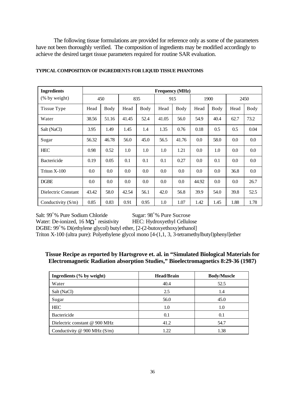The following tissue formulations are provided for reference only as some of the parameters have not been thoroughly verified. The composition of ingredients may be modified accordingly to achieve the desired target tissue parameters required for routine SAR evaluation.

| <b>Ingredients</b>   | <b>Frequency</b> (MHz) |         |         |         |         |       |       |      |      |         |
|----------------------|------------------------|---------|---------|---------|---------|-------|-------|------|------|---------|
| $(\%$ by weight)     |                        | 450     |         | 835     |         | 915   |       | 1900 |      | 2450    |
| Tissue Type          | Head                   | Body    | Head    | Body    | Head    | Body  | Head  | Body | Head | Body    |
| Water                | 38.56                  | 51.16   | 41.45   | 52.4    | 41.05   | 56.0  | 54.9  | 40.4 | 62.7 | 73.2    |
| Salt (NaCl)          | 3.95                   | 1.49    | 1.45    | 1.4     | 1.35    | 0.76  | 0.18  | 0.5  | 0.5  | 0.04    |
| Sugar                | 56.32                  | 46.78   | 56.0    | 45.0    | 56.5    | 41.76 | 0.0   | 58.0 | 0.0  | 0.0     |
| <b>HEC</b>           | 0.98                   | 0.52    | 1.0     | 1.0     | 1.0     | 1.21  | 0.0   | 1.0  | 0.0  | $0.0\,$ |
| Bactericide          | 0.19                   | 0.05    | 0.1     | 0.1     | 0.1     | 0.27  | 0.0   | 0.1  | 0.0  | 0.0     |
| Triton X-100         | $0.0\,$                | $0.0\,$ | $0.0\,$ | 0.0     | $0.0\,$ | 0.0   | 0.0   | 0.0  | 36.8 | 0.0     |
| <b>DGBE</b>          | $0.0\,$                | $0.0\,$ | $0.0\,$ | $0.0\,$ | $0.0\,$ | 0.0   | 44.92 | 0.0  | 0.0  | 26.7    |
| Dielectric Constant  | 43.42                  | 58.0    | 42.54   | 56.1    | 42.0    | 56.8  | 39.9  | 54.0 | 39.8 | 52.5    |
| Conductivity $(S/m)$ | 0.85                   | 0.83    | 0.91    | 0.95    | 1.0     | 1.07  | 1.42  | 1.45 | 1.88 | 1.78    |

### **TYPICAL COMPOSITION OF INGREDIENTS FOR LIQUID TISSUE PHANTOMS**

Salt:  $99^{\circ}$ % Pure Sodium Chloride Sugar:  $98^{\circ}$ % Pure Sucrose

Water: De-ionized, 16  $\text{M}\Omega$ <sup>+</sup>

HEC: Hydroxyethyl Cellulose DGBE: 99<sup>+</sup>% Di(ethylene glycol) butyl ether, [2-(2-butoxyethoxy)ethanol] Triton X-100 (ultra pure): Polyethylene glycol mono [4-(1,1, 3, 3-tetramethylbutyl)phenyl]ether

# **Tissue Recipe as reported by Hartsgrove et. al. in "Simulated Biological Materials for Electromagnetic Radiation absorption Studies," Bioelectromagnetics 8:29-36 (1987)**

| Ingredients (% by weight)     | <b>Head/Brain</b> | <b>Body/Muscle</b> |
|-------------------------------|-------------------|--------------------|
| Water                         | 40.4              | 52.5               |
| Salt (NaCl)                   | 2.5               | 1.4                |
| Sugar                         | 56.0              | 45.0               |
| <b>HEC</b>                    | 1.0               | 1.0                |
| Bactericide                   | 0.1               | 0.1                |
| Dielectric constant @ 900 MHz | 41.2              | 54.7               |
| Conductivity @ 900 MHz (S/m)  | 1.22              | 1.38               |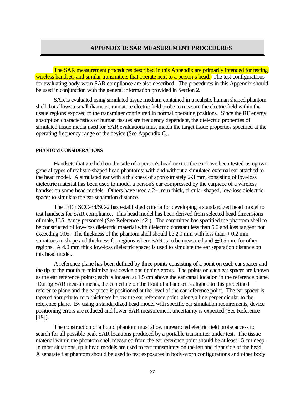### **APPENDIX D: SAR MEASUREMENT PROCEDURES**

The SAR measurement procedures described in this Appendix are primarily intended for testing wireless handsets and similar transmitters that operate next to a person's head. The test configurations for evaluating body-worn SAR compliance are also described. The procedures in this Appendix should be used in conjunction with the general information provided in Section 2.

SAR is evaluated using simulated tissue medium contained in a realistic human shaped phantom shell that allows a small diameter, miniature electric field probe to measure the electric field within the tissue regions exposed to the transmitter configured in normal operating positions. Since the RF energy absorption characteristics of human tissues are frequency dependent, the dielectric properties of simulated tissue media used for SAR evaluations must match the target tissue properties specified at the operating frequency range of the device (See Appendix C).

#### **PHANTOM CONSIDERATIONS**

Handsets that are held on the side of a person's head next to the ear have been tested using two general types of realistic-shaped head phantoms: with and without a simulated external ear attached to the head model. A simulated ear with a thickness of approximately 2-3 mm, consisting of low-loss dielectric material has been used to model a person's ear compressed by the earpiece of a wireless handset on some head models. Others have used a 2-4 mm thick, circular shaped, low-loss dielectric spacer to simulate the ear separation distance.

The IEEE SCC-34/SC-2 has established criteria for developing a standardized head model to test handsets for SAR compliance. This head model has been derived from selected head dimensions of male, U.S. Army personnel (See Reference [42]). The committee has specified the phantom shell to be constructed of low-loss dielectric material with dielectric constant less than 5.0 and loss tangent not exceeding 0.05. The thickness of the phantom shell should be 2.0 mm with less than  $\pm$  0.2 mm variations in shape and thickness for regions where SAR is to be measured and  $\pm$  0.5 mm for other regions. A 4.0 mm thick low-loss dielectric spacer is used to simulate the ear separation distance on this head model.

A reference plane has been defined by three points consisting of a point on each ear spacer and the tip of the mouth to minimize test device positioning errors. The points on each ear spacer are known as the ear reference points; each is located at 1.5 cm above the ear canal location in the reference plane. During SAR measurements, the centerline on the front of a handset is aligned to this predefined reference plane and the earpiece is positioned at the level of the ear reference point. The ear spacer is tapered abruptly to zero thickness below the ear reference point, along a line perpendicular to the reference plane. By using a standardized head model with specific ear simulation requirements, device positioning errors are reduced and lower SAR measurement uncertainty is expected (See Reference [19]).

The construction of a liquid phantom must allow unrestricted electric field probe access to search for all possible peak SAR locations produced by a portable transmitter under test. The tissue material within the phantom shell measured from the ear reference point should be at least 15 cm deep. In most situations, split head models are used to test transmitters on the left and right side of the head. A separate flat phantom should be used to test exposures in body-worn configurations and other body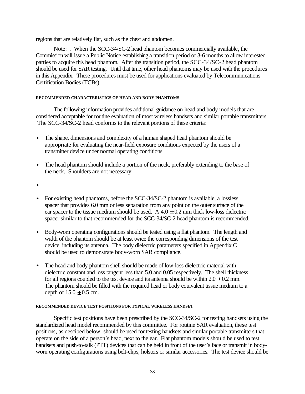regions that are relatively flat, such as the chest and abdomen.

Note: . When the SCC-34/SC-2 head phantom becomes commercially available, the Commission will issue a Public Notice establishing a transition period of 3-6 months to allow interested parties to acquire this head phantom. After the transition period, the SCC-34/SC-2 head phantom should be used for SAR testing. Until that time, other head phantoms may be used with the procedures in this Appendix. These procedures must be used for applications evaluated by Telecommunications Certification Bodies (TCBs).

### **RECOMMENDED CHARACTERISTICS OF HEAD AND BODY PHANTOMS**

The following information provides additional guidance on head and body models that are considered acceptable for routine evaluation of most wireless handsets and similar portable transmitters. The SCC-34/SC-2 head conforms to the relevant portions of these criteria:

- The shape, dimensions and complexity of a human shaped head phantom should be appropriate for evaluating the near-field exposure conditions expected by the users of a transmitter device under normal operating conditions.
- The head phantom should include a portion of the neck, preferably extending to the base of the neck. Shoulders are not necessary.
- •
- For existing head phantoms, before the SCC-34/SC-2 phantom is available, a lossless spacer that provides 6.0 mm or less separation from any point on the outer surface of the ear spacer to the tissue medium should be used. A  $4.0 \pm 0.2$  mm thick low-loss dielectric spacer similar to that recommended for the SCC-34/SC-2 head phantom is recommended.
- Body-worn operating configurations should be tested using a flat phantom. The length and width of the phantom should be at least twice the corresponding dimensions of the test device, including its antenna. The body dielectric parameters specified in Appendix C should be used to demonstrate body-worn SAR compliance.
- The head and body phantom shell should be made of low-loss dielectric material with dielectric constant and loss tangent less than 5.0 and 0.05 respectively. The shell thickness for all regions coupled to the test device and its antenna should be within  $2.0 \pm 0.2$  mm. The phantom should be filled with the required head or body equivalent tissue medium to a depth of  $15.0 \pm 0.5$  cm.

### **RECOMMENDED DEVICE TEST POSITIONS FOR TYPICAL WIRELESS HANDSET**

Specific test positions have been prescribed by the SCC-34/SC-2 for testing handsets using the standardized head model recommended by this committee. For routine SAR evaluation, these test positions, as descibed below, should be used for testing handsets and similar portable transmitters that operate on the side of a person's head, next to the ear. Flat phantom models should be used to test handsets and push-to-talk (PTT) devices that can be held in front of the user's face or transmit in bodyworn operating configurations using belt-clips, holsters or similar accessories. The test device should be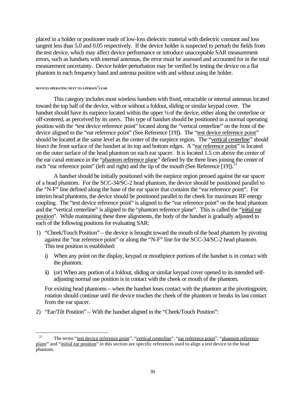placed in a holder or positioner made of low-loss dielectric material with dielectric constant and loss tangent less than 5.0 and 0.05 respectively. If the device holder is suspected to perturb the fields from the test device, which may affect device performance or introduce unacceptable SAR measurement errors, such as handsets with internal antennas, the error must be assessed and accounted for in the total measurement uncertainty. Device holder perturbation may be verified by testing the device on a flat phantom in each frequency band and antenna position with and without using the holder.

#### **DEVICES OPERATING NEXT TO A PERSON'S EAR**

 $\overline{a}$ 

This category includes most wireless handsets with fixed, retractable or internal antennas located toward the top half of the device, with or without a foldout, sliding or similar keypad cover. The handset should have its earpiece located within the upper ¼ of the device, either along the centerline or off-centered, as perceived by its users. This type of handset should be positioned in a normal operating position with the "test device reference point" located along the "vertical centerline" on the front of the device aligned to the "ear reference point" (See Reference [19]). The "test device reference point" should be located at the same level as the center of the earpiece region. The "vertical centerline" should bisect the front surface of the handset at its top and bottom edges. A "ear reference point" is located on the outer surface of the head phantom on each ear spacer. It is located 1.5 cm above the center of the ear canal entrance in the "phantom reference plane" defined by the three lines joining the center of each "ear reference point" (left and right) and the tip of the mouth (See Reference [19]).<sup>23</sup>

A handset should be initially positioned with the earpiece region pressed against the ear spacer of a head phantom. For the SCC-34/SC-2 head phantom, the device should be positioned parallel to the "N-F" line defined along the base of the ear spacer that contains the "ear reference point". For interim head phantoms, the device should be positioned parallel to the cheek for maximum RF energy coupling. The "test device reference point" is aligned to the "ear reference point" on the head phantom and the "vertical centerline" is aligned to the "phantom reference plane". This is called the "initial ear position". While maintaining these three alignments, the body of the handset is gradually adjusted to each of the following positions for evaluating SAR:

- 1) "Cheek/Touch Position" the device is brought toward the mouth of the head phantom by pivoting against the "ear reference point" or along the "N-F" line for the SCC-34/SC-2 head phantom. This test position is established:
	- i) When any point on the display, keypad or mouthpiece portions of the handset is in contact with the phantom.
	- ii) (or) When any portion of a foldout, sliding or similar keypad cover opened to its intended selfadjusting normal use position is in contact with the cheek or mouth of the phantom.

For existing head phantoms – when the handset loses contact with the phantom at the pivotingpoint, rotation should continue until the device touches the cheek of the phantom or breaks its last contact from the ear spacer.

2) "Ear/Tilt Position" – With the handset aligned in the "Cheek/Touch Position":

<sup>&</sup>lt;sup>23</sup> The terms "<u>test device reference point</u>", "vertical centerline", "ear reference point", "phantom reference plane" and "initial ear position" in this section are specific references used to align a test device to the head phantom.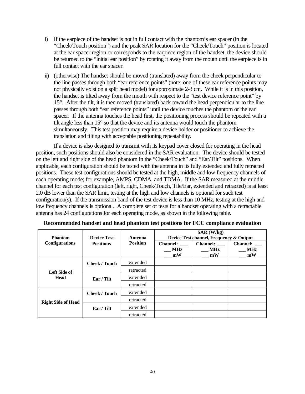- i) If the earpiece of the handset is not in full contact with the phantom's ear spacer (in the "Cheek/Touch position") and the peak SAR location for the "Cheek/Touch" position is located at the ear spacer region or corresponds to the earpiece region of the handset, the device should be returned to the "initial ear position" by rotating it away from the mouth until the earpiece is in full contact with the ear spacer.
- ii) (otherwise) The handset should be moved (translated) away from the cheek perpendicular to the line passes through both "ear reference points" (note: one of these ear reference points may not physically exist on a split head model) for approximate 2-3 cm. While it is in this position, the handset is tilted away from the mouth with respect to the "test device reference point" by 15°. After the tilt, it is then moved (translated) back toward the head perpendicular to the line passes through both "ear reference points" until the device touches the phantom or the ear spacer. If the antenna touches the head first, the positioning process should be repeated with a tilt angle less than 15° so that the device and its antenna would touch the phantom simultaneously. This test position may require a device holder or positioner to achieve the translation and tilting with acceptable positioning repeatability.

If a device is also designed to transmit with its keypad cover closed for operating in the head position, such positions should also be considered in the SAR evaluation. The device should be tested on the left and right side of the head phantom in the "Cheek/Touch" and "Ear/Tilt" positions. When applicable, each configuration should be tested with the antenna in its fully extended and fully retracted positions. These test configurations should be tested at the high, middle and low frequency channels of each operating mode; for example, AMPS, CDMA, and TDMA. If the SAR measured at the middle channel for each test configuration (left, right, Cheek/Touch, Tile/Ear, extended and retracted) is at least 2.0 dB lower than the SAR limit, testing at the high and low channels is optional for such test configuration(s). If the transmission band of the test device is less than 10 MHz, testing at the high and low frequency channels is optional. A complete set of tests for a handset operating with a retractable antenna has 24 configurations for each operating mode, as shown in the following table.

| <b>Phantom</b>              | <b>Device Test</b>   | Antenna<br><b>Position</b> | SAR (W/kg)<br>Device Test channel, Frequency & Output |                                     |                                     |  |
|-----------------------------|----------------------|----------------------------|-------------------------------------------------------|-------------------------------------|-------------------------------------|--|
| <b>Configurations</b>       | <b>Positions</b>     |                            | <b>Channel:</b><br><b>MHz</b><br>mW                   | <b>Channel:</b><br><b>MHz</b><br>mW | <b>Channel:</b><br><b>MHz</b><br>mW |  |
| Left Side of<br><b>Head</b> | <b>Cheek / Touch</b> | extended                   |                                                       |                                     |                                     |  |
|                             |                      | retracted                  |                                                       |                                     |                                     |  |
|                             | Ear / Tilt           | extended                   |                                                       |                                     |                                     |  |
|                             |                      | retracted                  |                                                       |                                     |                                     |  |
| <b>Right Side of Head</b>   | <b>Cheek / Touch</b> | extended                   |                                                       |                                     |                                     |  |
|                             |                      | retracted                  |                                                       |                                     |                                     |  |
|                             | Ear / Tilt           | extended                   |                                                       |                                     |                                     |  |
|                             |                      | retracted                  |                                                       |                                     |                                     |  |

**Recommended handset and head phantom test positions for FCC compliance evaluation**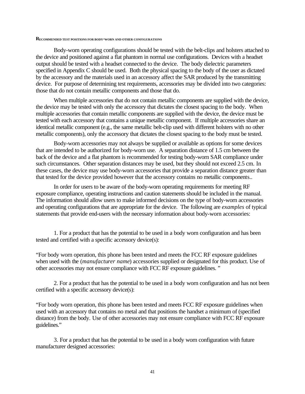#### **RECOMMENDED TEST POSITIONS FOR BODY-WORN AND OTHER CONFIGURATIONS**

Body-worn operating configurations should be tested with the belt-clips and holsters attached to the device and positioned against a flat phantom in normal use configurations. Devices with a headset output should be tested with a headset connected to the device. The body dielectric parameters specified in Appendix C should be used. Both the physical spacing to the body of the user as dictated by the accessory and the materials used in an accessory affect the SAR produced by the transmitting device. For purpose of determining test requirements, accessories may be divided into two categories: those that do not contain metallic components and those that do.

When multiple accessories that do not contain metallic components are supplied with the device, the device may be tested with only the accessory that dictates the closest spacing to the body. When multiple accessories that contain metallic components are supplied with the device, the device must be tested with each accessory that contains a unique metallic component. If multiple accessories share an identical metallic component (e.g., the same metallic belt-clip used with different holsters with no other metallic components), only the accessory that dictates the closest spacing to the body must be tested.

Body-worn accessories may not always be supplied or available as options for some devices that are intended to be authorized for body-worn use. A separation distance of 1.5 cm between the back of the device and a flat phantom is recommended for testing body-worn SAR compliance under such circumstances. Other separation distances may be used, but they should not exceed 2.5 cm. In these cases, the device may use body-worn accessories that provide a separation distance greater than that tested for the device provided however that the accessory contains no metallic components..

In order for users to be aware of the body-worn operating requirements for meeting RF exposure compliance, operating instructions and caution statements should be included in the manual. The information should allow users to make informed decisions on the type of body-worn accessories and operating configurations that are appropriate for the device. The following are *examples* of typical statements that provide end-users with the necessary information about body-worn accessories:

1. For a product that has the potential to be used in a body worn configuration and has been tested and certified with a specific accessory device(s):

"For body worn operation, this phone has been tested and meets the FCC RF exposure guidelines when used with the (*manufacturer name*) accessories supplied or designated for this product. Use of other accessories may not ensure compliance with FCC RF exposure guidelines. "

2. For a product that has the potential to be used in a body worn configuration and has not been certified with a specific accessory device(s):

"For body worn operation, this phone has been tested and meets FCC RF exposure guidelines when used with an accessory that contains no metal and that positions the handset a minimum of (specified distance) from the body. Use of other accessories may not ensure compliance with FCC RF exposure guidelines."

3. For a product that has the potential to be used in a body worn configuration with future manufacturer designed accessories: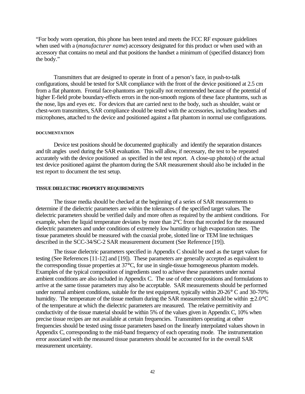"For body worn operation, this phone has been tested and meets the FCC RF exposure guidelines when used with a (*manufacturer name*) accessory designated for this product or when used with an accessory that contains no metal and that positions the handset a minimum of (specified distance) from the body."

Transmitters that are designed to operate in front of a person's face, in push-to-talk configurations, should be tested for SAR compliance with the front of the device positioned at 2.5 cm from a flat phantom. Frontal face-phantoms are typically not recommended because of the potential of higher E-field probe boundary-effects errors in the non-smooth regions of these face phantoms, such as the nose, lips and eyes etc. For devices that are carried next to the body, such as shoulder, waist or chest-worn transmitters, SAR compliance should be tested with the accessories, including headsets and microphones, attached to the device and positioned against a flat phantom in normal use configurations.

### **DOCUMENTATION**

Device test positions should be documented graphically and identify the separation distances and tilt angles used during the SAR evaluation. This will allow, if necessary, the test to be repeated accurately with the device positioned as specified in the test report. A close-up photo(s) of the actual test device positioned against the phantom during the SAR measurement should also be included in the test report to document the test setup.

#### **TISSUE DIELECTRIC PROPERTY REQUIREMENTS**

The tissue media should be checked at the beginning of a series of SAR measurements to determine if the dielectric parameters are within the tolerances of the specified target values. The dielectric parameters should be verified daily and more often as required by the ambient conditions. For example, when the liquid temperature deviates by more than 2°C from that recorded for the measured dielectric parameters and under conditions of extremely low humidity or high evaporation rates. The tissue parameters should be measured with the coaxial probe, slotted line or TEM line techniques described in the SCC-34/SC-2 SAR measurement document (See Reference [19]).

The tissue dielectric parameters specified in Appendix C should be used as the target values for testing (See References [11-12] and [19]). These parameters are generally accepted as equivalent to the corresponding tissue properties at 37°C, for use in single-tissue homogeneous phantom models. Examples of the typical composition of ingredients used to achieve these parameters under normal ambient conditions are also included in Appendix C. The use of other compositions and formulations to arrive at the same tissue parameters may also be acceptable. SAR measurements should be performed under normal ambient conditions, suitable for the test equipment, typically within 20-26° C and 30-70% humidity. The temperature of the tissue medium during the SAR measurement should be within  $\pm 2.0$ °C of the temperature at which the dielectric parameters are measured. The relative permittivity and conductivity of the tissue material should be within 5% of the values given in Appendix C, 10% when precise tissue recipes are not available at certain frequencies. Transmitters operating at other frequencies should be tested using tissue parameters based on the linearly interpolated values shown in Appendix C, corresponding to the mid-band frequency of each operating mode. The instrumentation error associated with the measured tissue parameters should be accounted for in the overall SAR measurement uncertainty.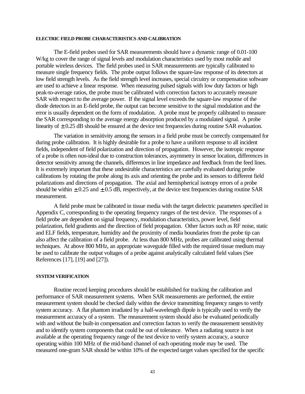### **ELECTRIC FIELD PROBE CHARACTERISTICS AND CALIBRATION**

The E-field probes used for SAR measurements should have a dynamic range of 0.01-100 W/kg to cover the range of signal levels and modulation characteristics used by most mobile and portable wireless devices. The field probes used in SAR measurements are typically calibrated to measure single frequency fields. The probe output follows the square-law response of its detectors at low field strength levels. As the field strength level increases, special circuitry or compensation software are used to achieve a linear response. When measuring pulsed signals with low duty factors or high peak-to-average ratios, the probe must be calibrated with correction factors to accurately measure SAR with respect to the average power. If the signal level exceeds the square-law response of the diode detectors in an E-field probe, the output can become sensitive to the signal modulation and the error is usually dependent on the form of modulation. A probe must be properly calibrated to measure the SAR corresponding to the average energy absorption produced by a modulated signal. A probe linearity of  $\pm$  0.25 dB should be ensured at the device test frequencies during routine SAR evaluation.

The variation in sensitivity among the sensors in a field probe must be correctly compensated for during probe calibration. It is highly desirable for a probe to have a uniform response to all incident fields, independent of field polarization and direction of propagation. However, the isotropic response of a probe is often non-ideal due to construction tolerances, asymmetry in sensor location, differences in detector sensitivity among the channels, differences in line impedance and feedback from the feed lines. It is extremely important that these undesirable characteristics are carefully evaluated during probe calibrations by rotating the probe along its axis and orienting the probe and its sensors to different field polarizations and directions of propagation. The axial and hemispherical isotropy errors of a probe should be within  $\pm$  0.25 and  $\pm$  0.5 dB, respectively, at the device test frequencies during routine SAR measurement.

A field probe must be calibrated in tissue media with the target dielectric parameters specified in Appendix C, corresponding to the operating frequency ranges of the test device. The responses of a field probe are dependent on signal frequency, modulation characteristics, power level, field polarization, field gradients and the direction of field propagation. Other factors such as RF noise, static and ELF fields, temperature, humidity and the proximity of media boundaries from the probe tip can also affect the calibration of a field probe. At less than 800 MHz, probes are calibrated using thermal techniques. At above 800 MHz, an appropriate waveguide filled with the required tissue medium may be used to calibrate the output voltages of a probe against analytically calculated field values (See References [17], [19] and [27]).

#### **SYSTEM VERIFICATION**

Routine record keeping procedures should be established for tracking the calibration and performance of SAR measurement systems. When SAR measurements are performed, the entire measurement system should be checked daily within the device transmitting frequency ranges to verify system accuracy. A flat phantom irradiated by a half-wavelength dipole is typically used to verify the measurement accuracy of a system. The measurement system should also be evaluated periodically with and without the built-in compensation and correction factors to verify the measurement sensitivity and to identify system components that could be out of tolerance. When a radiating source is not available at the operating frequency range of the test device to verify system accuracy, a source operating within 100 MHz of the mid-band channel of each operating mode may be used. The measured one-gram SAR should be within 10% of the expected target values specified for the specific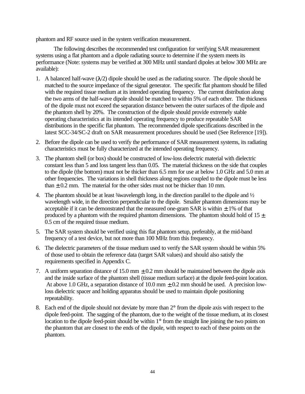phantom and RF source used in the system verification measurement.

The following describes the recommended test configuration for verifying SAR measurement systems using a flat phantom and a dipole radiating source to determine if the system meets its performance (Note: systems may be verified at 300 MHz until standard dipoles at below 300 MHz are available):

- 1. A balanced half-wave  $(\lambda/2)$  dipole should be used as the radiating source. The dipole should be matched to the source impedance of the signal generator. The specific flat phantom should be filled with the required tissue medium at its intended operating frequency. The current distribution along the two arms of the half-wave dipole should be matched to within 5% of each other. The thickness of the dipole must not exceed the separation distance between the outer surfaces of the dipole and the phantom shell by 20%. The construction of the dipole should provide extremely stable operating characteristics at its intended operating frequency to produce repeatable SAR distributions in the specific flat phantom. The recommended dipole specifications described in the latest SCC-34/SC-2 draft on SAR measurement procedures should be used (See Reference [19]).
- 2. Before the dipole can be used to verify the performance of SAR measurement systems, its radiating characteristics must be fully characterized at the intended operating frequency.
- 3. The phantom shell (or box) should be constructed of low-loss dielectric material with dielectric constant less than 5 and loss tangent less than 0.05. The material thickness on the side that couples to the dipole (the bottom) must not be thicker than 6.5 mm for use at below 1.0 GHz and 5.0 mm at other frequencies. The variations in shell thickness along regions coupled to the dipole must be less than  $\pm$  0.2 mm. The material for the other sides must not be thicker than 10 mm.
- 4. The phantom should be at least  $\frac{3}{4}$  wavelength long, in the direction parallel to the dipole and  $\frac{1}{2}$ wavelength wide, in the direction perpendicular to the dipole. Smaller phantom dimensions may be acceptable if it can be demonstrated that the measured one-gram SAR is within  $\pm$  1% of that produced by a phantom with the required phantom dimensions. The phantom should hold of  $15 \pm$ 0.5 cm of the required tissue medium.
- 5. The SAR system should be verified using this flat phantom setup, preferably, at the mid-band frequency of a test device, but not more than 100 MHz from this frequency.
- 6. The dielectric parameters of the tissue medium used to verify the SAR system should be within 5% of those used to obtain the reference data (target SAR values) and should also satisfy the requirements specified in Appendix C.
- 7. A uniform separation distance of 15.0 mm  $\pm$  0.2 mm should be maintained between the dipole axis and the inside surface of the phantom shell (tissue medium surface) at the dipole feed-point location. At above 1.0 GHz, a separation distance of 10.0 mm  $\pm$  0.2 mm should be used. A precision lowloss dielectric spacer and holding apparatus should be used to maintain dipole positioning repeatability.
- 8. Each end of the dipole should not deviate by more than 2° from the dipole axis with respect to the dipole feed-point. The sagging of the phantom, due to the weight of the tissue medium, at its closest location to the dipole feed-point should be within 1<sup>°</sup> from the straight line joining the two points on the phantom that are closest to the ends of the dipole, with respect to each of these points on the phantom.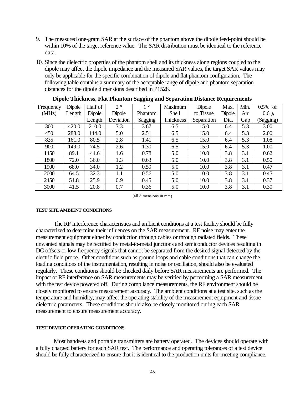- 9. The measured one-gram SAR at the surface of the phantom above the dipole feed-point should be within 10% of the target reference value. The SAR distribution must be identical to the reference data.
- 10. Since the dielectric properties of the phantom shell and its thickness along regions coupled to the dipole may affect the dipole impedance and the measured SAR values, the target SAR values may only be applicable for the specific combination of dipole and flat phantom configuration. The following table contains a summary of the acceptable range of dipole and phantom separation distances for the dipole dimensions described in P1528.

| л.        |        |         |             | oo.<br>$\bullet$ | л.               |            | л.     |      |               |
|-----------|--------|---------|-------------|------------------|------------------|------------|--------|------|---------------|
| Frequency | Dipole | Half of | $2^{\circ}$ | $1^{\circ}$      | Maximum          | Dipole     | Max.   | Min. | $0.5\%$ of    |
| (MHz)     | Length | Dipole  | Dipole      | Phantom          | Shell            | to Tissue  | Dipole | Air  | $0.6 \lambda$ |
|           |        | Length  | Deviation   | Sagging          | <b>Thickness</b> | Separation | Dia.   | Gap  | (Sagging)     |
| 300       | 420.0  | 210.0   | 7.3         | 3.67             | 6.5              | 15.0       | 6.4    | 5.3  | 3.00          |
| 450       | 288.0  | 144.0   | 5.0         | 2.51             | 6.5              | 15.0       | 6.4    | 5.3  | 2.00          |
| 835       | 161.0  | 80.5    | 2.8         | 1.41             | 6.5              | 15.0       | 6.4    | 5.3  | 1.08          |
| 900       | 149.0  | 74.5    | 2.6         | 1.30             | 6.5              | 15.0       | 6.4    | 5.3  | 1.00          |
| 1450      | 89.1   | 44.6    | 1.6         | 0.78             | 5.0              | 10.0       | 3.8    | 3.1  | 0.62          |
| 1800      | 72.0   | 36.0    | 1.3         | 0.63             | 5.0              | 10.0       | 3.8    | 3.1  | 0.50          |
| 1900      | 68.0   | 34.0    | 1.2         | 0.59             | 5.0              | 10.0       | 3.8    | 3.1  | 0.47          |
| 2000      | 64.5   | 32.3    | 1.1         | 0.56             | 5.0              | 10.0       | 3.8    | 3.1  | 0.45          |
| 2450      | 51.8   | 25.9    | 0.9         | 0.45             | 5.0              | 10.0       | 3.8    | 3.1  | 0.37          |
| 3000      | 41.5   | 20.8    | 0.7         | 0.36             | 5.0              | 10.0       | 3.8    | 3.1  | 0.30          |

**Dipole Thickness, Flat Phantom Sagging and Separation Distance Requirements**

(all dimensions in mm)

### **TEST SITE AMBIENT CONDITIONS**

The RF interference characteristics and ambient conditions at a test facility should be fully characterized to determine their influences on the SAR measurement. RF noise may enter the measurement equipment either by conduction through cables or through radiated fields. These unwanted signals may be rectified by metal-to-metal junctions and semiconductor devices resulting in DC offsets or low frequency signals that cannot be separated from the desired signal detected by the electric field probe. Other conditions such as ground loops and cable conditions that can change the loading conditions of the instrumentation, resulting in noise or oscillation, should also be evaluated regularly. These conditions should be checked daily before SAR measurements are performed. The impact of RF interference on SAR measurements may be verified by performing a SAR measurement with the test device powered off. During compliance measurements, the RF environment should be closely monitored to ensure measurement accuracy. The ambient conditions at a test site, such as the temperature and humidity, may affect the operating stability of the measurement equipment and tissue dielectric parameters. These conditions should also be closely monitored during each SAR measurement to ensure measurement accuracy.

### **TEST DEVICE OPERATING CONDITIONS**

Most handsets and portable transmitters are battery operated. The devices should operate with a fully charged battery for each SAR test. The performance and operating tolerances of a test device should be fully characterized to ensure that it is identical to the production units for meeting compliance.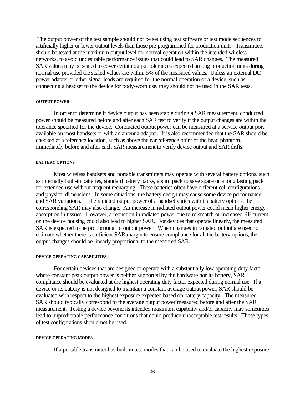The output power of the test sample should not be set using test software or test mode sequences to artificially higher or lower output levels than those pre-programmed for production units. Transmitters should be tested at the maximum output level for normal operation within the intended wireless networks, to avoid undesirable performance issues that could lead to SAR changes. The measured SAR values may be scaled to cover certain output tolerances expected among production units during normal use provided the scaled values are within 5% of the measured values. Unless an external DC power adapter or other signal leads are required for the normal operation of a device, such as connecting a headset to the device for body-worn use, they should not be used in the SAR tests.

#### **OUTPUT POWER**

In order to determine if device output has been stable during a SAR measurement, conducted power should be measured before and after each SAR test to verify if the output changes are within the tolerance specified for the device. Conducted output power can be measured at a service output port available on most handsets or with an antenna adapter. It is also recommended that the SAR should be checked at a reference location, such as above the ear reference point of the head phantom, immediately before and after each SAR measurement to verify device output and SAR drifts.

#### **BATTERY OPTIONS**

Most wireless handsets and portable transmitters may operate with several battery options, such as internally built-in batteries, standard battery packs, a slim pack to save space or a long lasting pack for extended use without frequent recharging. These batteries often have different cell configurations and physical dimensions. In some situations, the battery design may cause some device performance and SAR variations. If the radiated output power of a handset varies with its battery options, the corresponding SAR may also change. An increase in radiated output power could mean higher energy absorption in tissues. However, a reduction in radiated power due to mismatch or increased RF current on the device housing could also lead to higher SAR. For devices that operate linearly, the measured SAR is expected to be proportional to output power. When changes in radiated output are used to estimate whether there is sufficient SAR margin to ensure compliance for all the battery options, the output changes should be linearly proportional to the measured SAR.

#### **DEVICE OPERATING CAPABILITIES**

For certain devices that are designed to operate with a substantially low operating duty factor where constant peak output power is neither supported by the hardware nor its battery, SAR compliance should be evaluated at the highest operating duty factor expected during normal use. If a device or its battery is not designed to maintain a constant average output power, SAR should be evaluated with respect to the highest exposure expected based on battery capacity. The measured SAR should typically correspond to the average output power measured before and after the SAR measurement. Testing a device beyond its intended maximum capability and/or capacity may sometimes lead to unpredictable performance conditions that could produce unacceptable test results. These types of test configurations should not be used.

#### **DEVICE OPERATING MODES**

If a portable transmitter has built-in test modes that can be used to evaluate the highest exposure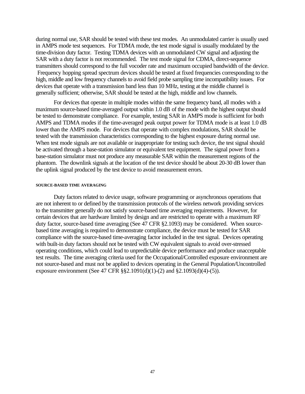during normal use, SAR should be tested with these test modes. An unmodulated carrier is usually used in AMPS mode test sequences. For TDMA mode, the test mode signal is usually modulated by the time-division duty factor. Testing TDMA devices with an unmodulated CW signal and adjusting the SAR with a duty factor is not recommended. The test mode signal for CDMA, direct-sequence transmitters should correspond to the full vocoder rate and maximum occupied bandwidth of the device. Frequency hopping spread spectrum devices should be tested at fixed frequencies corresponding to the high, middle and low frequency channels to avoid field probe sampling time incompatibility issues. For devices that operate with a transmission band less than 10 MHz, testing at the middle channel is generally sufficient; otherwise, SAR should be tested at the high, middle and low channels.

For devices that operate in multiple modes within the same frequency band, all modes with a maximum source-based time-averaged output within 1.0 dB of the mode with the highest output should be tested to demonstrate compliance. For example, testing SAR in AMPS mode is sufficient for both AMPS and TDMA modes if the time-averaged peak output power for TDMA mode is at least 1.0 dB lower than the AMPS mode. For devices that operate with complex modulations, SAR should be tested with the transmission characteristics corresponding to the highest exposure during normal use. When test mode signals are not available or inappropriate for testing such device, the test signal should be activated through a base-station simulator or equivalent test equipment. The signal power from a base-station simulator must not produce any measurable SAR within the measurement regions of the phantom. The downlink signals at the location of the test device should be about 20-30 dB lower than the uplink signal produced by the test device to avoid measurement errors.

#### **SOURCE-BASED TIME AVERAGING**

Duty factors related to device usage, software programming or asynchronous operations that are not inherent to or defined by the transmission protocols of the wireless network providing services to the transmitter generally do not satisfy source-based time averaging requirements. However, for certain devices that are hardware limited by design and are restricted to operate with a maximum RF duty factor, source-based time averaging (See 47 CFR §2.1093) may be considered. When sourcebased time averaging is required to demonstrate compliance, the device must be tested for SAR compliance with the source-based time-averaging factor included in the test signal. Devices operating with built-in duty factors should not be tested with CW equivalent signals to avoid over-stressed operating conditions, which could lead to unpredictable device performance and produce unacceptable test results. The time averaging criteria used for the Occupational/Controlled exposure environment are not source-based and must not be applied to devices operating in the General Population/Uncontrolled exposure environment (See 47 CFR §§2.1091(d)(1)-(2) and §2.1093(d)(4)-(5)).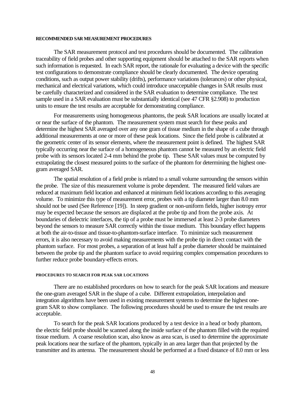#### **RECOMMENDED SAR MEASUREMENT PROCEDURES**

The SAR measurement protocol and test procedures should be documented. The calibration traceability of field probes and other supporting equipment should be attached to the SAR reports when such information is requested. In each SAR report, the rationale for evaluating a device with the specific test configurations to demonstrate compliance should be clearly documented. The device operating conditions, such as output power stability (drifts), performance variations (tolerances) or other physical, mechanical and electrical variations, which could introduce unacceptable changes in SAR results must be carefully characterized and considered in the SAR evaluation to determine compliance. The test sample used in a SAR evaluation must be substantially identical (see 47 CFR §2.908) to production units to ensure the test results are acceptable for demonstrating compliance.

For measurements using homogeneous phantoms, the peak SAR locations are usually located at or near the surface of the phantom. The measurement system must search for these peaks and determine the highest SAR averaged over any one gram of tissue medium in the shape of a cube through additional measurements at one or more of these peak locations. Since the field probe is calibrated at the geometric center of its sensor elements, where the measurement point is defined. The highest SAR typically occurring near the surface of a homogeneous phantom cannot be measured by an electric field probe with its sensors located 2-4 mm behind the probe tip. These SAR values must be computed by extrapolating the closest measured points to the surface of the phantom for determining the highest onegram averaged SAR.

The spatial resolution of a field probe is related to a small volume surrounding the sensors within the probe. The size of this measurement volume is probe dependent. The measured field values are reduced at maximum field location and enhanced at minimum field locations according to this averaging volume. To minimize this type of measurement error, probes with a tip diameter larger than 8.0 mm should not be used (See Reference [19]). In steep gradient or non-uniform fields, higher isotropy error may be expected because the sensors are displaced at the probe tip and from the probe axis. At boundaries of dielectric interfaces, the tip of a probe must be immersed at least 2-3 probe diameters beyond the sensors to measure SAR correctly within the tissue medium. This boundary effect happens at both the air-to-tissue and tissue-to-phantom-surface interface. To minimize such measurement errors, it is also necessary to avoid making measurements with the probe tip in direct contact with the phantom surface. For most probes, a separation of at least half a probe diameter should be maintained between the probe tip and the phantom surface to avoid requiring complex compensation procedures to further reduce probe boundary-effects errors.

#### **PROCEDURES TO SEARCH FOR PEAK SAR LOCATIONS**

There are no established procedures on how to search for the peak SAR locations and measure the one-gram averaged SAR in the shape of a cube. Different extrapolation, interpolation and integration algorithms have been used in existing measurement systems to determine the highest onegram SAR to show compliance. The following procedures should be used to ensure the test results are acceptable.

To search for the peak SAR locations produced by a test device in a head or body phantom, the electric field probe should be scanned along the inside surface of the phantom filled with the required tissue medium. A coarse resolution scan, also know as area scan, is used to determine the approximate peak locations near the surface of the phantom, typically in an area larger than that projected by the transmitter and its antenna. The measurement should be performed at a fixed distance of 8.0 mm or less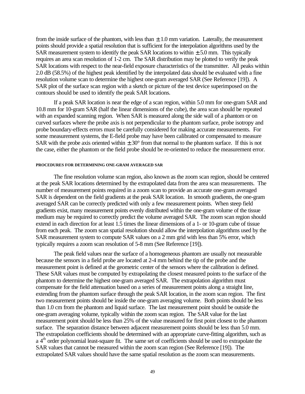from the inside surface of the phantom, with less than  $\pm$  1.0 mm variation. Laterally, the measurement points should provide a spatial resolution that is sufficient for the interpolation algorithms used by the SAR measurement system to identify the peak SAR locations to within  $\pm$  5.0 mm. This typically requires an area scan resolution of 1-2 cm. The SAR distribution may be plotted to verify the peak SAR locations with respect to the near-field exposure characteristics of the transmitter. All peaks within 2.0 dB (58.5%) of the highest peak identified by the interpolated data should be evaluated with a fine resolution volume scan to determine the highest one-gram averaged SAR (See Reference [19]). A SAR plot of the surface scan region with a sketch or picture of the test device superimposed on the contours should be used to identify the peak SAR locations.

If a peak SAR location is near the edge of a scan region, within 5.0 mm for one-gram SAR and 10.8 mm for 10-gram SAR (half the linear dimensions of the cube), the area scan should be repeated with an expanded scanning region. When SAR is measured along the side wall of a phantom or on curved surfaces where the probe axis is not perpendicular to the phantom surface, probe isotropy and probe boundary-effects errors must be carefully considered for making accurate measurements. For some measurement systems, the E-field probe may have been calibrated or compensated to measure SAR with the probe axis oriented within  $\pm 30^{\circ}$  from that normal to the phantom surface. If this is not the case, either the phantom or the field probe should be re-oriented to reduce the measurement error.

#### **PROCEDURES FOR DETERMINING ONE-GRAM AVERAGED SAR**

The fine resolution volume scan region, also known as the zoom scan region, should be centered at the peak SAR locations determined by the extrapolated data from the area scan measurements. The number of measurement points required in a zoom scan to provide an accurate one-gram averaged SAR is dependent on the field gradients at the peak SAR location. In smooth gradients, the one-gram averaged SAR can be correctly predicted with only a few measurement points. When steep field gradients exist, many measurement points evenly distributed within the one-gram volume of the tissue medium may be required to correctly predict the volume averaged SAR. The zoom scan region should extend in each direction for at least 1.5 times the linear dimensions of a 1- or 10-gram cube of tissue from each peak. The zoom scan spatial resolution should allow the interpolation algorithms used by the SAR measurement system to compute SAR values on a 2 mm grid with less than 5% error, which typically requires a zoom scan resolution of 5-8 mm (See Reference [19]).

The peak field values near the surface of a homogeneous phantom are usually not measurable because the sensors in a field probe are located at 2-4 mm behind the tip of the probe and the measurement point is defined at the geometric center of the sensors where the calibration is defined. These SAR values must be computed by extrapolating the closest measured points to the surface of the phantom to determine the highest one-gram averaged SAR. The extrapolation algorithm must compensate for the field attenuation based on a series of measurement points along a straight line, extending from the phantom surface through the peak SAR location, in the zoom scan region. The first two measurement points should be inside the one-gram averaging volume. Both points should be less than 1.0 cm from the phantom and liquid surface. The last measurement point should be outside the one-gram averaging volume, typically within the zoom scan region. The SAR value for the last measurement point should be less than 25% of the value measured for first point closest to the phantom surface. The separation distance between adjacent measurement points should be less than 5.0 mm. The extrapolation coefficients should be determined with an appropriate curve-fitting algorithm, such as a 4<sup>th</sup> order polynomial least-square fit. The same set of coefficients should be used to extrapolate the SAR values that cannot be measured within the zoom scan region (See Reference [19]). The extrapolated SAR values should have the same spatial resolution as the zoom scan measurements.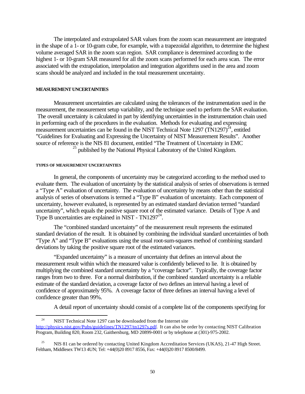The interpolated and extrapolated SAR values from the zoom scan measurement are integrated in the shape of a 1- or 10-gram cube, for example, with a trapezoidal algorithm, to determine the highest volume averaged SAR in the zoom scan region. SAR compliance is determined according to the highest 1- or 10-gram SAR measured for all the zoom scans performed for each area scan. The error associated with the extrapolation, interpolation and integration algorithms used in the area and zoom scans should be analyzed and included in the total measurement uncertainty.

#### **MEASUREMENT UNCERTAINTIES**

Measurement uncertainties are calculated using the tolerances of the instrumentation used in the measurement, the measurement setup variability, and the technique used to perform the SAR evaluation. The overall uncertainty is calculated in part by identifying uncertainties in the instrumentation chain used in performing each of the procedures in the evaluation. Methods for evaluating and expressing measurement uncertainties can be found in the NIST Technical Note 1297 (TN1297)<sup>24</sup>, entitled "Guidelines for Evaluating and Expressing the Uncertainty of NIST Measurement Results". Another source of reference is the NIS 81 document, entitled "The Treatment of Uncertainty in EMC  $25$  published by the National Physical Laboratory of the United Kingdom.

#### **TYPES OF MEASUREMENT UNCERTAINTIES**

 $\overline{a}$ 

In general, the components of uncertainty may be categorized according to the method used to evaluate them. The evaluation of uncertainty by the statistical analysis of series of observations is termed a "Type A" evaluation of uncertainty. The evaluation of uncertainty by means other than the statistical analysis of series of observations is termed a "Type B" evaluation of uncertainty. Each component of uncertainty, however evaluated, is represented by an estimated standard deviation termed "standard uncertainty", which equals the positive square root of the estimated variance. Details of Type A and Type B uncertainties are explained in NIST - TN1297 $^{24}$ .

The "combined standard uncertainty" of the measurement result represents the estimated standard deviation of the result. It is obtained by combining the individual standard uncertainties of both "Type A" and "Type B" evaluations using the usual root-sum-squares method of combining standard deviations by taking the positive square root of the estimated variances.

"Expanded uncertainty" is a measure of uncertainty that defines an interval about the measurement result within which the measured value is confidently believed to lie. It is obtained by multiplying the combined standard uncertainty by a "coverage factor". Typically, the coverage factor ranges from two to three. For a normal distribution, if the combined standard uncertainty is a reliable estimate of the standard deviation, a coverage factor of two defines an interval having a level of confidence of approximately 95%. A coverage factor of three defines an interval having a level of confidence greater than 99%.

A detail report of uncertainty should consist of a complete list of the components specifying for

<sup>&</sup>lt;sup>24</sup> NIST Technical Note 1297 can be downloaded from the Internet site

http://physics.nist.gov/Pubs/guidelines/TN1297/tn1297s.pdf. It can also be order by contacting NIST Calibration Program, Building 820, Room 232, Gaithersburg, MD 20899-0001 or by telephone at (301)-975-2002.

<sup>&</sup>lt;sup>25</sup> NIS 81 can be ordered by contacting United Kingdom Accreditation Services (UKAS), 21-47 High Street. Feltham, Middlesex TW13 4UN; Tel: +44(0)20 8917 8556, Fax: +44(0)20 8917 8500/8499.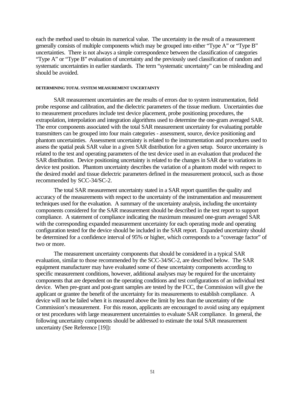each the method used to obtain its numerical value. The uncertainty in the result of a measurement generally consists of multiple components which may be grouped into either "Type A" or "Type B" uncertainties. There is not always a simple correspondence between the classification of categories "Type A" or "Type B" evaluation of uncertainty and the previously used classification of random and systematic uncertainties in earlier standards. The term "systematic uncertainty" can be misleading and should be avoided.

#### **DETERMINING TOTAL SYSTEM MEASUREMENT UNCERTAINTY**

SAR measurement uncertainties are the results of errors due to system instrumentation, field probe response and calibration, and the dielectric parameters of the tissue medium. Uncertainties due to measurement procedures include test device placement, probe positioning procedures, the extrapolation, interpolation and integration algorithms used to determine the one-gram averaged SAR. The error components associated with the total SAR measurement uncertainty for evaluating portable transmitters can be grouped into four main categories - assessment, source, device positioning and phantom uncertainties. Assessment uncertainty is related to the instrumentation and procedures used to assess the spatial peak SAR value in a given SAR distribution for a given setup. Source uncertainty is related to the test and operating parameters of the test device used in an evaluation that produced the SAR distribution. Device positioning uncertainty is related to the changes in SAR due to variations in device test position. Phantom uncertainty describes the variation of a phantom model with respect to the desired model and tissue dielectric parameters defined in the measurement protocol, such as those recommended by SCC-34/SC-2.

The total SAR measurement uncertainty stated in a SAR report quantifies the quality and accuracy of the measurements with respect to the uncertainty of the instrumentation and measurement techniques used for the evaluation. A summary of the uncertainty analysis, including the uncertainty components considered for the SAR measurement should be described in the test report to support compliance. A statement of compliance indicating the maximum measured one-gram averaged SAR with the corresponding expanded measurement uncertainty for each operating mode and operating configuration tested for the device should be included in the SAR report. Expanded uncertainty should be determined for a confidence interval of 95% or higher, which corresponds to a "coverage factor" of two or more.

The measurement uncertainty components that should be considered in a typical SAR evaluation, similar to those recommended by the SCC-34/SC-2, are described below. The SAR equipment manufacturer may have evaluated some of these uncertainty components according to specific measurement conditions, however, additional analyses may be required for the uncertainty components that are dependent on the operating conditions and test configurations of an individual test device. When pre-grant and post-grant samples are tested by the FCC, the Commission will give the applicant or grantee the benefit of the uncertainty for its measurements to establish compliance. A device will not be failed when it is measured above the limit by less than the uncertainty of the Commission's measurement. For this reason, applicants are encouraged to avoid using any equipment or test procedures with large measurement uncertainties to evaluate SAR compliance. In general, the following uncertainty components should be addressed to estimate the total SAR measurement uncertainty (See Reference [19]):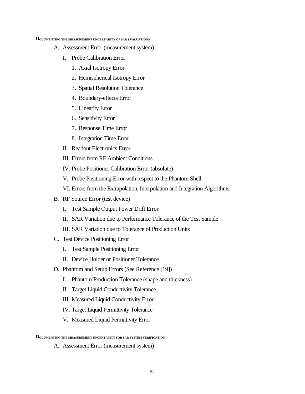#### **DOCUMENTING THE MEASUREMENT UNCERTAINTY OF SAR EVALUATIONS**

- A. Assessment Error (measurement system)
	- I. Probe Calibration Error
		- 1. Axial Isotropy Error
		- 2. Hemispherical Isotropy Error
		- 3. Spatial Resolution Tolerance
		- 4. Boundary-effects Error
		- 5. Linearity Error
		- 6. Sensitivity Error
		- 7. Response Time Error
		- 8. Integration Time Error
	- II. Readout Electronics Error
	- III. Errors from RF Ambient Conditions
	- IV. Probe Positioner Calibration Error (absolute)
	- V. Probe Positioning Error with respect to the Phantom Shell
	- VI. Errors from the Extrapolation, Interpolation and Integration Algorithms
- B. RF Source Error (test device)
	- I. Test Sample Output Power Drift Error
	- II. SAR Variation due to Performance Tolerance of the Test Sample
	- III. SAR Variation due to Tolerance of Production Units
- C. Test Device Positioning Error
	- I. Test Sample Positioning Error
	- II. Device Holder or Positioner Tolerance
- D. Phantom and Setup Errors (See Reference [19])
	- I. Phantom Production Tolerance (shape and thickness)
	- II. Target Liquid Conductivity Tolerance
	- III. Measured Liquid Conductivity Error
	- IV. Target Liquid Permittivity Tolerance
	- V. Measured Liquid Permittivity Error

**DOCUMENTING THE MEASUREMENT UNCERTAINTY FOR SAR SYSTEM VERIFICATION**

A. Assessment Error (measurement system)